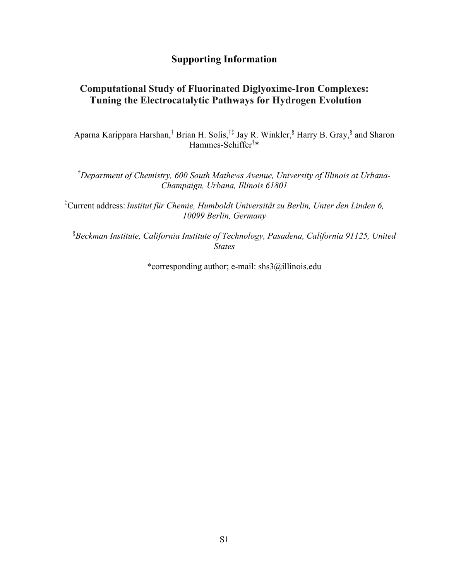#### **Supporting Information**

### **Computational Study of Fluorinated Diglyoxime-Iron Complexes: Tuning the Electrocatalytic Pathways for Hydrogen Evolution**

Aparna Karippara Harshan,<sup>†</sup> Brian H. Solis,<sup>†‡</sup> Jay R. Winkler,<sup>§</sup> Harry B. Gray,<sup>§</sup> and Sharon Hammes-Schiffer† \*

† *Department of Chemistry, 600 South Mathews Avenue, University of Illinois at Urbana-Champaign, Urbana, Illinois 61801* 

‡ Current address:*Institut für Chemie, Humboldt Universität zu Berlin, Unter den Linden 6, 10099 Berlin, Germany*

§ *Beckman Institute, California Institute of Technology, Pasadena, California 91125, United States* 

\*corresponding author; e-mail: shs3@illinois.edu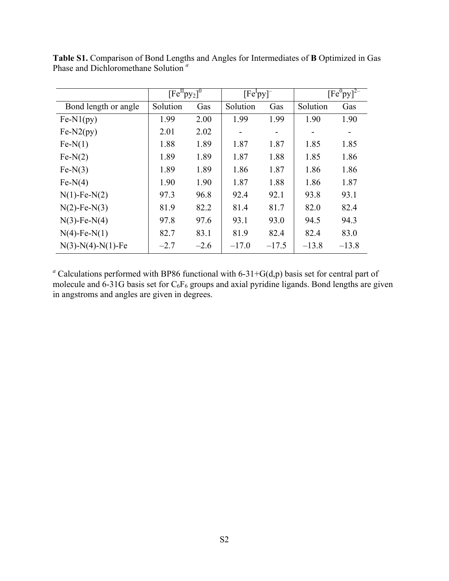|                      | $[Fe^{II}py_2]^{0}$ |        | [Fe <sup>1</sup> py] |         |          | $[Fe^0py]^{2-}$ |
|----------------------|---------------------|--------|----------------------|---------|----------|-----------------|
| Bond length or angle | Solution            | Gas    | Solution             | Gas     | Solution | Gas             |
| $Fe-N1(py)$          | 1.99                | 2.00   | 1.99                 | 1.99    | 1.90     | 1.90            |
| $Fe-N2(py)$          | 2.01                | 2.02   |                      |         |          |                 |
| $Fe-N(1)$            | 1.88                | 1.89   | 1.87                 | 1.87    | 1.85     | 1.85            |
| $Fe-N(2)$            | 1.89                | 1.89   | 1.87                 | 1.88    | 1.85     | 1.86            |
| $Fe-N(3)$            | 1.89                | 1.89   | 1.86                 | 1.87    | 1.86     | 1.86            |
| $Fe-N(4)$            | 1.90                | 1.90   | 1.87                 | 1.88    | 1.86     | 1.87            |
| $N(1)$ -Fe- $N(2)$   | 97.3                | 96.8   | 92.4                 | 92.1    | 93.8     | 93.1            |
| $N(2)$ -Fe- $N(3)$   | 81.9                | 82.2   | 81.4                 | 81.7    | 82.0     | 82.4            |
| $N(3)$ -Fe- $N(4)$   | 97.8                | 97.6   | 93.1                 | 93.0    | 94.5     | 94.3            |
| $N(4)$ -Fe- $N(1)$   | 82.7                | 83.1   | 81.9                 | 82.4    | 82.4     | 83.0            |
| $N(3)-N(4)-N(1)-Fe$  | $-2.7$              | $-2.6$ | $-17.0$              | $-17.5$ | $-13.8$  | $-13.8$         |

**Table S1.** Comparison of Bond Lengths and Angles for Intermediates of **B** Optimized in Gas Phase and Dichloromethane Solution *<sup>a</sup>*

<sup>*a*</sup> Calculations performed with BP86 functional with 6-31+G(d,p) basis set for central part of molecule and 6-31G basis set for  $C_6F_6$  groups and axial pyridine ligands. Bond lengths are given in angstroms and angles are given in degrees.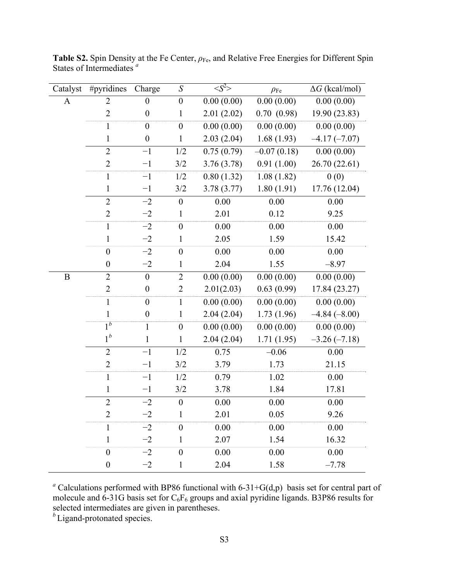| Catalyst | #pyridines       | Charge           | S                | $\langle S^2 \rangle$ | $\rho_{\rm Fe}$ | $\Delta G$ (kcal/mol) |
|----------|------------------|------------------|------------------|-----------------------|-----------------|-----------------------|
| A        | $\overline{2}$   | $\boldsymbol{0}$ | $\boldsymbol{0}$ | 0.00(0.00)            | 0.00(0.00)      | 0.00(0.00)            |
|          | $\overline{2}$   | $\boldsymbol{0}$ | $\mathbf{1}$     | 2.01(2.02)            | 0.70(0.98)      | 19.90 (23.83)         |
|          | $\mathbf{1}$     | $\boldsymbol{0}$ | $\boldsymbol{0}$ | 0.00(0.00)            | 0.00(0.00)      | 0.00(0.00)            |
|          | $\mathbf{1}$     | $\boldsymbol{0}$ | $\mathbf{1}$     | 2.03(2.04)            | 1.68(1.93)      | $-4.17(-7.07)$        |
|          | $\overline{2}$   | $-1$             | 1/2              | 0.75(0.79)            | $-0.07(0.18)$   | 0.00(0.00)            |
|          | $\overline{2}$   | $-1$             | 3/2              | 3.76(3.78)            | 0.91(1.00)      | 26.70 (22.61)         |
|          | $\mathbf{1}$     | $-1$             | 1/2              | 0.80(1.32)            | 1.08(1.82)      | 0(0)                  |
|          | $\mathbf{1}$     | $-1$             | 3/2              | 3.78(3.77)            | 1.80(1.91)      | 17.76 (12.04)         |
|          | $\overline{2}$   | $-2$             | $\boldsymbol{0}$ | 0.00                  | 0.00            | 0.00                  |
|          | $\overline{2}$   | $-2$             | 1                | 2.01                  | 0.12            | 9.25                  |
|          | $\mathbf{1}$     | $-2$             | $\boldsymbol{0}$ | 0.00                  | 0.00            | 0.00                  |
|          | $\mathbf{1}$     | $-2$             | $\mathbf{1}$     | 2.05                  | 1.59            | 15.42                 |
|          | $\boldsymbol{0}$ | $-2$             | $\boldsymbol{0}$ | 0.00                  | 0.00            | 0.00                  |
|          | $\boldsymbol{0}$ | $-2$             | 1                | 2.04                  | 1.55            | $-8.97$               |
| B        | $\overline{2}$   | $\boldsymbol{0}$ | $\overline{2}$   | 0.00(0.00)            | 0.00(0.00)      | 0.00(0.00)            |
|          | $\overline{2}$   | $\boldsymbol{0}$ | $\overline{2}$   | 2.01(2.03)            | 0.63(0.99)      | 17.84 (23.27)         |
|          | $\mathbf{1}$     | $\mathbf{0}$     | $\mathbf{1}$     | 0.00(0.00)            | 0.00(0.00)      | 0.00(0.00)            |
|          | $\mathbf{1}$     | $\boldsymbol{0}$ | $\mathbf{1}$     | 2.04(2.04)            | 1.73(1.96)      | $-4.84(-8.00)$        |
|          | $1^b$            | $\mathbf{1}$     | $\boldsymbol{0}$ | 0.00(0.00)            | 0.00(0.00)      | 0.00(0.00)            |
|          | $1^b$            | $\mathbf{1}$     | 1                | 2.04(2.04)            | 1.71(1.95)      | $-3.26(-7.18)$        |
|          | $\overline{2}$   | $-1$             | 1/2              | 0.75                  | $-0.06$         | 0.00                  |
|          | $\overline{2}$   | $-1$             | 3/2              | 3.79                  | 1.73            | 21.15                 |
|          | $\mathbf{1}$     | $-1$             | 1/2              | 0.79                  | 1.02            | 0.00                  |
|          | $\mathbf{1}$     | $-1$             | 3/2              | 3.78                  | 1.84            | 17.81                 |
|          | $\overline{2}$   | $-2$             | $\boldsymbol{0}$ | 0.00                  | 0.00            | 0.00                  |
|          | $\overline{2}$   | $-2$             | 1                | 2.01                  | 0.05            | 9.26                  |
|          | 1                | $-2$             | $\boldsymbol{0}$ | 0.00                  | 0.00            | 0.00                  |
|          | $\mathbf{1}$     | $-2$             | 1                | 2.07                  | 1.54            | 16.32                 |
|          | $\boldsymbol{0}$ | $-2$             | $\boldsymbol{0}$ | 0.00                  | 0.00            | 0.00                  |
|          | $\boldsymbol{0}$ | $-2$             | $\mathbf{1}$     | 2.04                  | 1.58            | $-7.78$               |

**Table S2.** Spin Density at the Fe Center,  $ρ_{Fe}$ , and Relative Free Energies for Different Spin States of Intermediates *<sup>a</sup>*

<sup>*a*</sup> Calculations performed with BP86 functional with 6-31+G(d,p) basis set for central part of molecule and 6-31G basis set for  $C_6F_6$  groups and axial pyridine ligands. B3P86 results for selected intermediates are given in parentheses.

<sup>*b*</sup> Ligand-protonated species.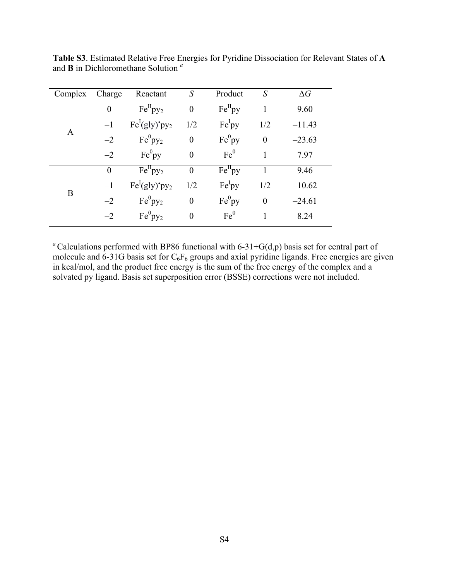| Complex | Charge           | Reactant             | $\mathcal{S}_{0}$ | Product            | S                | $\Delta G$ |
|---------|------------------|----------------------|-------------------|--------------------|------------------|------------|
|         | $\boldsymbol{0}$ | $Fe^{II}py_2$        | $\boldsymbol{0}$  | $Fe^{II}$ py       |                  | 9.60       |
|         | $-1$             | $Fe^{I}(gly)'py_{2}$ | 1/2               | Fe <sup>I</sup> py | 1/2              | $-11.43$   |
| A       | $-2$             | $Fe^{0}py_{2}$       | $\overline{0}$    | $Fe^{0}py$         | $\boldsymbol{0}$ | $-23.63$   |
|         | $-2$             | $Fe^{0}py$           | $\overline{0}$    | Fe <sup>0</sup>    |                  | 7.97       |
|         | $\overline{0}$   | $Fe^{II}py_2$        | $\theta$          | $Fe^{II}$ py       |                  | 9.46       |
| B       | $-1$             | $Fe^{I}(gly)'py_2$   | 1/2               | Fe <sup>I</sup> py | 1/2              | $-10.62$   |
|         | $-2$             | $Fe^{0}py_{2}$       | $\theta$          | Fe <sup>0</sup> py | $\boldsymbol{0}$ | $-24.61$   |
|         | $-2$             | $Fe^{0}py_{2}$       | $\overline{0}$    | Fe <sup>0</sup>    |                  | 8.24       |

**Table S3**. Estimated Relative Free Energies for Pyridine Dissociation for Relevant States of **A**  and **B** in Dichloromethane Solution *<sup>a</sup>*

<sup>*a*</sup>Calculations performed with BP86 functional with 6-31+G(d,p) basis set for central part of molecule and  $6-31G$  basis set for  $C_6F_6$  groups and axial pyridine ligands. Free energies are given in kcal/mol, and the product free energy is the sum of the free energy of the complex and a solvated py ligand. Basis set superposition error (BSSE) corrections were not included.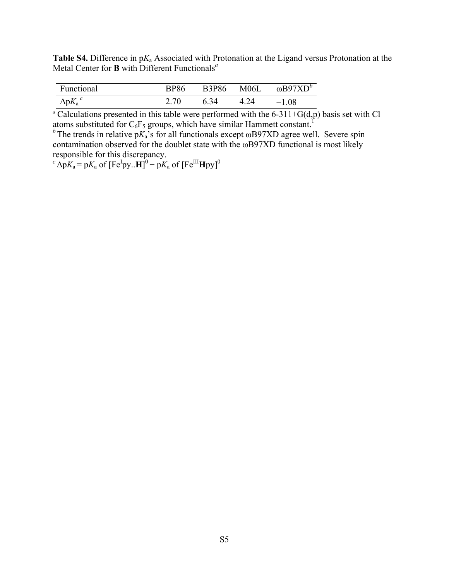**Table S4.** Difference in p*K*a Associated with Protonation at the Ligand versus Protonation at the Metal Center for **B** with Different Functionals*<sup>a</sup>*

| Functional       | BP86 |      | B3P86 M06L | ωΒ97 $XD^b$ |
|------------------|------|------|------------|-------------|
| $\Delta p K_a^c$ | 2.70 | 6.34 | 4.24       | $-1.08$     |

<sup>*a*</sup> Calculations presented in this table were performed with the 6-311+G(d,p) basis set with Cl atoms substituted for  $C_6F_5$  groups, which have similar Hammett constant.<sup>1</sup>

 $b^b$ The trends in relative p $K_a$ 's for all functionals except  $\omega$ B97XD agree well. Severe spin contamination observed for the doublet state with the ωB97XD functional is most likely responsible for this discrepancy.

 $c^c \Delta p K_a = p K_a$  of  $[Fe^I py..H]^0 - p K_a$  of  $[Fe^{III}Hpy]^0$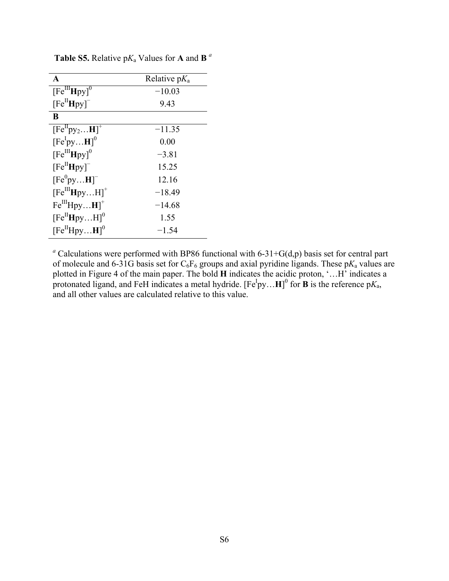| A                                                 | Relative $pK_a$ |
|---------------------------------------------------|-----------------|
| $\overline{\text{[Fe}}^{\text{III}}\text{Hpy]}^0$ | $-10.03$        |
| $[Fe^{II}Hpy]$ <sup>-</sup>                       | 9.43            |
| B                                                 |                 |
| $[Fe^{II}py_2H]^+$                                | $-11.35$        |
| $[Fe^IpyH]^0$                                     | 0.00            |
| $[Fe^{III}Hpy]^{0}$                               | $-3.81$         |
| $[Fe^{II}Hpy]^{-}$                                | 15.25           |
| $[Fe^0pyH]$                                       | 12.16           |
| $[Fe^{III}HpyH]^{+}$                              | $-18.49$        |
| $Fe^{III}HpyH$ <sup>+</sup>                       | $-14.68$        |
| $[Fe^{II}HpyH]^{0}$                               | 1.55            |
| $[Fe^{II}HpyH]^{0}$                               | $-1.54$         |

**Table S5.** Relative  $pK_a$  Values for **A** and **B**  $^a$ 

<sup>*a*</sup> Calculations were performed with BP86 functional with 6-31+G(d,p) basis set for central part of molecule and 6-31G basis set for  $C_6F_6$  groups and axial pyridine ligands. These  $pK_a$  values are plotted in Figure 4 of the main paper. The bold **H** indicates the acidic proton, '…H' indicates a protonated ligand, and FeH indicates a metal hydride.  $[Fe^Ipy...H]^0$  for **B** is the reference  $pK_a$ , and all other values are calculated relative to this value.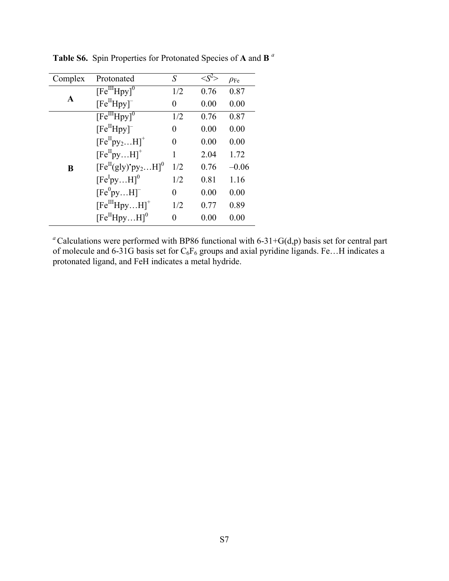| Complex | Protonated                                                  | S   |      | $\rho_{\rm Fe}$ |
|---------|-------------------------------------------------------------|-----|------|-----------------|
|         | $\overline{\text{[Fe}}^{\text{III}}\text{Hpy}$ <sup>0</sup> | 1/2 | 0.76 | 0.87            |
| A       | $[Fe^{II}Hpy]$ <sup>-</sup>                                 | 0   | 0.00 | 0.00            |
|         | $[Fe^{III}Hpy]^{0}$                                         | 1/2 | 0.76 | 0.87            |
|         | $[Fe^{II}Hpy]$ <sup>-</sup>                                 | 0   | 0.00 | 0.00            |
|         | $[Fe^{II}py_2H]^+$                                          | 0   | 0.00 | 0.00            |
|         | $[Fe^{II}pyH]^{+}$                                          | 1   | 2.04 | 1.72            |
| B       | $[Fe^{II}(gly)*py2H]0$                                      | 1/2 | 0.76 | $-0.06$         |
|         | $[Fe^IpyH]^0$                                               | 1/2 | 0.81 | 1.16            |
|         | $[Fe^0pyH]$ <sup>-</sup>                                    | 0   | 0.00 | 0.00            |
|         | $[Fe^{III}HpyH]^{+}$                                        | 1/2 | 0.77 | 0.89            |
|         | $[Fe^{II}HpyH]^{0}$                                         | 0   | 0.00 | 0.00            |

**Table S6.** Spin Properties for Protonated Species of **A** and **B** *<sup>a</sup>*

<sup>*a*</sup> Calculations were performed with BP86 functional with 6-31+G(d,p) basis set for central part of molecule and 6-31G basis set for  $C_6F_6$  groups and axial pyridine ligands. Fe...H indicates a protonated ligand, and FeH indicates a metal hydride.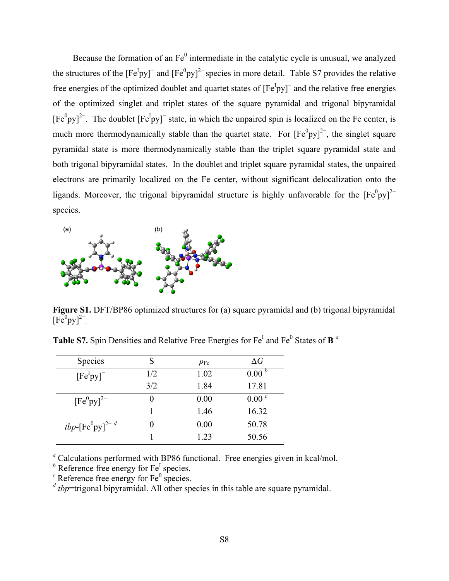Because the formation of an  $Fe<sup>0</sup>$  intermediate in the catalytic cycle is unusual, we analyzed the structures of the  $[Fe^Ipy]$ <sup>-</sup> and  $[Fe^0py]^{2}$  species in more detail. Table S7 provides the relative free energies of the optimized doublet and quartet states of  $[Fe<sup>I</sup>py]$ <sup>-</sup> and the relative free energies of the optimized singlet and triplet states of the square pyramidal and trigonal bipyramidal  $[Fe^{0}py]^{2-}$ . The doublet  $[Fe^{1}py]^{-}$  state, in which the unpaired spin is localized on the Fe center, is much more thermodynamically stable than the quartet state. For  $[Fe^0py]^2$ , the singlet square pyramidal state is more thermodynamically stable than the triplet square pyramidal state and both trigonal bipyramidal states. In the doublet and triplet square pyramidal states, the unpaired electrons are primarily localized on the Fe center, without significant delocalization onto the ligands. Moreover, the trigonal bipyramidal structure is highly unfavorable for the  $[Fe^0py]^2$ species.



Figure S1. DFT/BP86 optimized structures for (a) square pyramidal and (b) trigonal bipyramidal  $[Fe<sup>0</sup>py]<sup>2–</sup>$ 

| <b>Species</b>            | S   | $\rho_{\rm Fe}$ | $\Delta G$        |
|---------------------------|-----|-----------------|-------------------|
| $[Fe^Ipy]$                | 1/2 | 1.02            | 0.00 <sup>b</sup> |
|                           | 3/2 | 1.84            | 17.81             |
| $[Fe^0$ py $]^{2-}$       |     | 0.00            | 0.00 <sup>c</sup> |
|                           |     | 1.46            | 16.32             |
| tbp- $[Fe^0$ py $]^{2-d}$ |     | 0.00            | 50.78             |
|                           |     | 1.23            | 50.56             |

**Table S7.** Spin Densities and Relative Free Energies for Fe<sup>I</sup> and Fe<sup>0</sup> States of **B** <sup>*a*</sup>

*a* Calculations performed with BP86 functional. Free energies given in kcal/mol.

<sup>*b*</sup> Reference free energy for Fe<sup>I</sup> species.

Reference free energy for  $Fe<sup>0</sup>$  species.

*<sup>d</sup> tbp*=trigonal bipyramidal. All other species in this table are square pyramidal.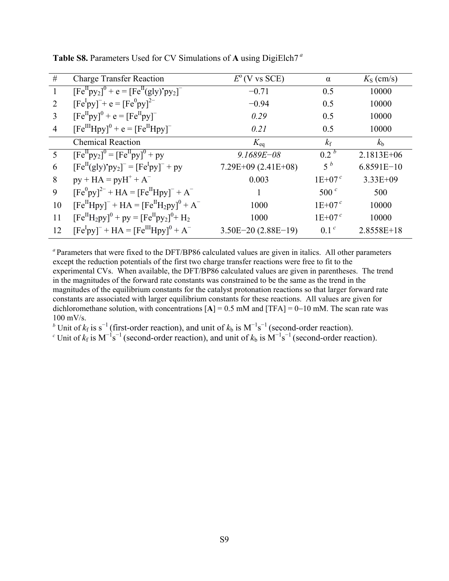| #              | <b>Charge Transfer Reaction</b>                                  | $E^{\rm o}$ (V vs SCE) | $\alpha$         | $K_{\rm S}$ (cm/s) |
|----------------|------------------------------------------------------------------|------------------------|------------------|--------------------|
| $\mathbf{1}$   | $[Fe^{II}py_2]^{0} + e = [Fe^{II}(gly)*py_2]^{-}$                | $-0.71$                | 0.5              | 10000              |
| 2              | $[Fe^Ipy]^-$ + e = $[Fe^0py]^{2-}$                               | $-0.94$                | 0.5              | 10000              |
| 3              | $[Fe^{II}py]^{0} + e = [Fe^{II}py]^{-1}$                         | 0.29                   | 0.5              | 10000              |
| $\overline{4}$ | $[Fe^{III}Hpy]^{0} + e = [Fe^{II}Hpy]^{-}$                       | 0.21                   | 0.5              | 10000              |
|                | <b>Chemical Reaction</b>                                         | $K_{\text{eq}}$        | $k_{\rm f}$      | $k_{\rm b}$        |
| 5              | $[Fe^{II}py_2]^{0} = [Fe^{II}py]^{0} + py$                       | $9.1689E - 08$         | 0.2 <sup>b</sup> | 2.1813E+06         |
| 6              | $[Fe^{II}(gly)'py_2]^- = [Fe^Ipy]^- + py$                        | $7.29E+09$ (2.41E+08)  | $5^{\,b}$        | $6.8591E-10$       |
| 8              | $py + HA = pyH^{+} + A^{-}$                                      | 0.003                  | $1E+07c$         | $3.33E + 09$       |
| 9              | $[Fe^{0}py]^{2-} + HA = [Fe^{II}Hpy]^{-} + A^{-}$                |                        | 500 $^{\circ}$   | 500                |
| 10             | $[Fe^{II}Hpy]^-$ + HA = $[Fe^{II}H_2py]^{0}$ + A <sup>-</sup>    | 1000                   | $1E+07c$         | 10000              |
| 11             | $[Fe^{II}H_2py]^{0}$ + py = $[Fe^{II}py_2]^{0}$ + H <sub>2</sub> | 1000                   | $1E+07c$         | 10000              |
| 12             | $[Fe^Ipy]^-$ + HA = $[Fe^{III}Hpy]^{0}$ + A <sup>-</sup>         | $3.50E-20(2.88E-19)$   | 0.1 <sup>c</sup> | $2.8558E+18$       |

**Table S8.** Parameters Used for CV Simulations of **A** using DigiElch7*<sup>a</sup>*

*<sup>a</sup>*Parameters that were fixed to the DFT/BP86 calculated values are given in italics. All other parameters except the reduction potentials of the first two charge transfer reactions were free to fit to the experimental CVs. When available, the DFT/BP86 calculated values are given in parentheses. The trend in the magnitudes of the forward rate constants was constrained to be the same as the trend in the magnitudes of the equilibrium constants for the catalyst protonation reactions so that larger forward rate constants are associated with larger equilibrium constants for these reactions. All values are given for dichloromethane solution, with concentrations  $[A] = 0.5$  mM and  $[TFA] = 0-10$  mM. The scan rate was 100 mV/s.

<sup>b</sup> Unit of  $k_f$  is s<sup>-1</sup> (first-order reaction), and unit of  $k_b$  is  $M^{-1}s^{-1}$  (second-order reaction).<br><sup>c</sup> Unit of  $k_f$  is  $M^{-1}s^{-1}$  (second-order reaction), and unit of  $k_b$  is  $M^{-1}s^{-1}$  (second-order reaction).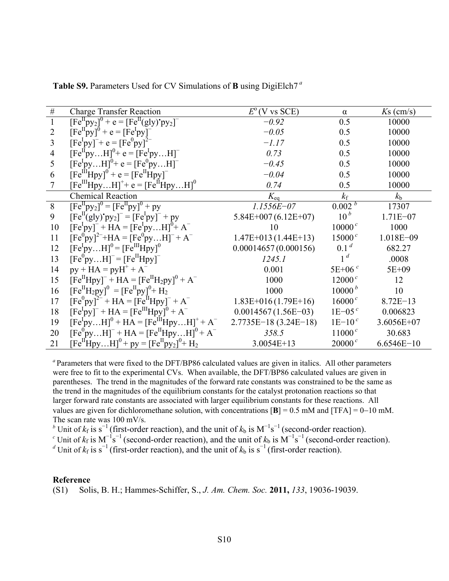| $\#$           | <b>Charge Transfer Reaction</b>                                             | $E^{\rm o}$ (V vs SCE) | $\alpha$           | $Ks$ (cm/s)  |
|----------------|-----------------------------------------------------------------------------|------------------------|--------------------|--------------|
| $\mathbf{1}$   | $[Fe^{II}py_2]^0 + e = [Fe^{II}(gly)^{\bullet}py_2]^{-1}$                   | $-0.92$                | 0.5                | 10000        |
| $\overline{2}$ | $[Fe^{II}py]^{0} + e = [Fe^{I}py]^{-}$                                      | $-0.05$                | 0.5                | 10000        |
| 3              | $[FeIpy]$ <sup>-+</sup> e = $[Fe0py]$ <sup>2-</sup>                         | $-1.17$                | 0.5                | 10000        |
| $\overline{4}$ | $[Fe^{II}pyH]^{0}+e=[Fe^{I}pyH]^{-}$                                        | 0.73                   | 0.5                | 10000        |
| 5              | $[Fe^IpyH]^0$ + e = $[Fe^0pyH]^-$                                           | $-0.45$                | 0.5                | 10000        |
| 6              | $[Fe^{III}Hpy]^{0} + e = [Fe^{II}Hpy]^{-}$                                  | $-0.04$                | 0.5                | 10000        |
| $\overline{7}$ | $[Fe^{III}HpyH]^{+} + e = [Fe^{II}HpyH]^{0}$                                | 0.74                   | 0.5                | 10000        |
|                | <b>Chemical Reaction</b>                                                    | $K_{eq}$               | $k_{\rm f}$        | $k_{\rm b}$  |
| 8              | $[Fe^{II}py_2]^{0} = [Fe^{II}py]^{0} + py$                                  | $1.1556E - 07$         | 0.002 <sup>b</sup> | 17307        |
| 9              | $[Fe^{II}(gly)'py_2] = [FeIpy] + py$                                        | $5.84E+007(6.12E+07)$  | 10 <sup>b</sup>    | $1.71E - 07$ |
| 10             | $[Fe^Ipy]^-$ + HA = $[Fe^IpyH]^{0}$ + A <sup>-</sup>                        | 10                     | 10000 <sup>c</sup> | 1000         |
| 11             | $[Fe^{0}py]^{2-}+HA=[Fe^{0}pyH]^{-}+A^{-}$                                  | $1.47E+013(1.44E+13)$  | $15000^c$          | 1.018E-09    |
| 12             | $[Fe^IpyH]^0 = [Fe^{III}Hpy]^0$                                             | 0.00014657(0.000156)   | 0.1 <sup>d</sup>   | 682.27       |
| 13             | $[Fe^{0}pyH]^-$ = $[Fe^{II}Hpy]^-$                                          | 1245.1                 | 1 <sup>d</sup>     | .0008        |
| 14             | $py + HA = pyH^{+} + A^{-}$                                                 | 0.001                  | $5E+06c$           | 5E+09        |
| 15             | $[Fe^{II}Hpy]^-$ + HA = $[Fe^{II}H_2py]^{0}$ + A <sup>-</sup>               | 1000                   | $12000^c$          | 12           |
| 16             | $[Fe^{II}H_2py]$ <sup>0</sup> = $[Fe^{II}py]$ <sup>0</sup> + H <sub>2</sub> | 1000                   | 10000 <sup>b</sup> | 10           |
| 17             | $[Fe^{0}py]^{2-} + HA = [Fe^{II}Hpy]^{-} + A^{-}$                           | $1.83E+016(1.79E+16)$  | $16000^c$          | $8.72E-13$   |
| 18             | $[Fe^Ipy]^-$ + HA = $[Fe^{III}Hpy]^{0}$ + A <sup>-</sup>                    | $0.0014567(1.56E-03)$  | $1E-05c$           | 0.006823     |
| 19             | $[Fe^IpyH]^0 + HA = [Fe^{III}HpyH]^+ + A^-$                                 | $2.7735E-18(3.24E-18)$ | $1E-10c$           | 3.6056E+07   |
| 20             | $[Fe^{0}pyH]^{-} + HA = [Fe^{II}HpyH]^{0} + A^{-}$                          | 358.5                  | $11000^c$          | 30.683       |
| 21             | $[Fe^{II}HpyH]^{0}$ + py = $[Fe^{II}py_{2}]^{0}$ + H <sub>2</sub>           | 3.0054E+13             | $20000^c$          | $6.6546E-10$ |

**Table S9.** Parameters Used for CV Simulations of **B** using DigiElch7*<sup>a</sup>*

*<sup>a</sup>*Parameters that were fixed to the DFT/BP86 calculated values are given in italics. All other parameters were free to fit to the experimental CVs. When available, the DFT/BP86 calculated values are given in parentheses. The trend in the magnitudes of the forward rate constants was constrained to be the same as the trend in the magnitudes of the equilibrium constants for the catalyst protonation reactions so that larger forward rate constants are associated with larger equilibrium constants for these reactions. All values are given for dichloromethane solution, with concentrations  $[\mathbf{B}] = 0.5$  mM and  $[TFA] = 0-10$  mM. The scan rate was 100 mV/s.

<sup>b</sup> Unit of  $k_f$  is  $s^{-1}$  (first-order reaction), and the unit of  $k_b$  is  $M^{-1}s^{-1}$  (second-order reaction).<br><sup>c</sup> Unit of  $k_f$  is  $M^{-1}s^{-1}$  (second-order reaction), and the unit of  $k_b$  is  $M^{-1}s^{-1}$  (second-order reaction

#### **Reference**

(S1) Solis, B. H.; Hammes-Schiffer, S., *J. Am. Chem. Soc.* **2011,** *133*, 19036-19039.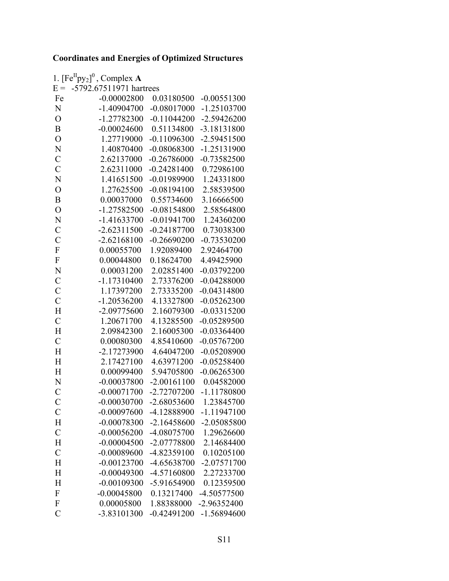### **Coordinates and Energies of Optimized Structures**

| $E =$                   | 1. $[Fe^{II}py_2]^0$ , Complex A<br>-5792.67511971 hartrees |               |               |
|-------------------------|-------------------------------------------------------------|---------------|---------------|
| Fe                      | $-0.00002800$                                               | 0.03180500    | $-0.00551300$ |
| N                       | $-1.40904700$                                               | $-0.08017000$ | $-1.25103700$ |
| $\overline{O}$          | -1.27782300                                                 | $-0.11044200$ | $-2.59426200$ |
| B                       |                                                             |               |               |
|                         | $-0.00024600$                                               | 0.51134800    | -3.18131800   |
| $\overline{O}$          | 1.27719000                                                  | $-0.11096300$ | $-2.59451500$ |
| N                       | 1.40870400                                                  | $-0.08068300$ | $-1.25131900$ |
| $\overline{C}$          | 2.62137000                                                  | $-0.26786000$ | $-0.73582500$ |
| $\overline{C}$          | 2.62311000                                                  | $-0.24281400$ | 0.72986100    |
| N                       | 1.41651500                                                  | $-0.01989900$ | 1.24331800    |
| $\overline{O}$          | 1.27625500                                                  | $-0.08194100$ | 2.58539500    |
| B                       | 0.00037000                                                  | 0.55734600    | 3.16666500    |
| $\overline{O}$          | $-1.27582500$                                               | $-0.08154800$ | 2.58564800    |
| N                       | $-1.41633700$                                               | $-0.01941700$ | 1.24360200    |
| $\mathcal{C}$           | $-2.62311500$                                               | $-0.24187700$ | 0.73038300    |
| $\overline{C}$          | $-2.62168100$                                               | $-0.26690200$ | $-0.73530200$ |
| $\mathbf F$             | 0.00055700                                                  | 1.92089400    | 2.92464700    |
| $\mathbf F$             | 0.00044800                                                  | 0.18624700    | 4.49425900    |
| N                       | 0.00031200                                                  | 2.02851400    | $-0.03792200$ |
| $\mathcal{C}$           | $-1.17310400$                                               | 2.73376200    | $-0.04288000$ |
| $\mathcal{C}$           | 1.17397200                                                  | 2.73335200    | $-0.04314800$ |
| $\overline{C}$          | $-1.20536200$                                               | 4.13327800    | $-0.05262300$ |
| H                       | $-2.09775600$                                               | 2.16079300    | $-0.03315200$ |
| $\overline{C}$          | 1.20671700                                                  | 4.13285500    | $-0.05289500$ |
| H                       | 2.09842300                                                  | 2.16005300    | $-0.03364400$ |
| $\overline{C}$          | 0.00080300                                                  | 4.85410600    | $-0.05767200$ |
| H                       | -2.17273900                                                 | 4.64047200    | $-0.05208900$ |
| H                       | 2.17427100                                                  | 4.63971200    | $-0.05258400$ |
| H                       | 0.00099400                                                  | 5.94705800    | $-0.06265300$ |
| N                       | $-0.00037800$                                               | $-2.00161100$ | 0.04582000    |
| $\overline{C}$          | $-0.00071700$                                               | -2.72707200   | $-1.11780800$ |
| $\mathcal{C}_{0}^{(n)}$ | $-0.00030700$                                               | $-2.68053600$ | 1.23845700    |
| $\mathcal{C}$           | $-0.00097600$                                               | -4.12888900   | $-1.11947100$ |
| H                       | $-0.00078300$                                               | $-2.16458600$ | -2.05085800   |
| $\mathcal{C}$           | $-0.00056200$                                               | -4.08075700   | 1.29626600    |
| H                       | $-0.00004500$                                               | -2.07778800   | 2.14684400    |
| $\mathcal{C}$           | $-0.00089600$                                               | -4.82359100   | 0.10205100    |
| H                       | $-0.00123700$                                               | -4.65638700   | -2.07571700   |
| H                       | $-0.00049300$                                               | -4.57160800   | 2.27233700    |
| H                       | $-0.00109300$                                               | -5.91654900   | 0.12359500    |
| ${\bf F}$               | $-0.00045800$                                               | 0.13217400    | -4.50577500   |
| ${\bf F}$               | 0.00005800                                                  | 1.88388000    | -2.96352400   |
| $\overline{C}$          | -3.83101300                                                 | $-0.42491200$ | $-1.56894600$ |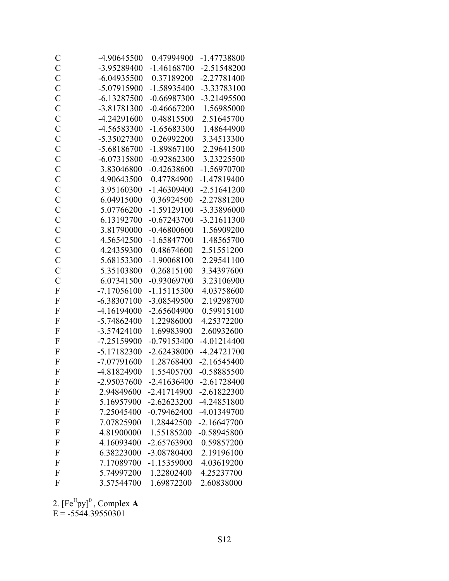| $\mathcal{C}$  | -4.90645500   | 0.47994900                          | -1.47738800   |
|----------------|---------------|-------------------------------------|---------------|
| $\mathbf C$    | -3.95289400   | $-1.46168700$                       | $-2.51548200$ |
| $\mathcal{C}$  | $-6.04935500$ | 0.37189200                          | $-2.27781400$ |
| $\mathcal{C}$  | -5.07915900   | $-1.58935400$                       | -3.33783100   |
| $\mathbf C$    | $-6.13287500$ | $-0.66987300$                       | $-3.21495500$ |
| $\mathcal{C}$  | -3.81781300   | $-0.46667200$                       | 1.56985000    |
| $\overline{C}$ | -4.24291600   | 0.48815500                          | 2.51645700    |
| $\mathcal{C}$  | -4.56583300   | $-1.65683300$                       | 1.48644900    |
| $\mathcal{C}$  | -5.35027300   | 0.26992200                          | 3.34513300    |
| $\mathcal{C}$  | -5.68186700   | $-1.89867100$                       | 2.29641500    |
| $\mathcal{C}$  | $-6.07315800$ | $-0.92862300$                       | 3.23225500    |
| $\mathcal{C}$  | 3.83046800    | $-0.42638600$                       | -1.56970700   |
| $\mathbf C$    | 4.90643500    | 0.47784900                          | -1.47819400   |
| $\overline{C}$ | 3.95160300    | $-1.46309400$                       | $-2.51641200$ |
| $\mathbf C$    | 6.04915000    | 0.36924500                          | $-2.27881200$ |
| $\mathbf C$    | 5.07766200    | $-1.59129100$                       | -3.33896000   |
| $\overline{C}$ | 6.13192700    | $-0.67243700$                       | $-3.21611300$ |
| $\mathcal{C}$  | 3.81790000    | $-0.46800600$                       | 1.56909200    |
| $\mathcal{C}$  | 4.56542500    | $-1.65847700$                       | 1.48565700    |
| $\mathcal{C}$  | 4.24359300    | 0.48674600                          | 2.51551200    |
| $\mathcal{C}$  | 5.68153300    | $-1.90068100$                       | 2.29541100    |
| $\mathcal{C}$  | 5.35103800    | 0.26815100                          | 3.34397600    |
| $\mathcal{C}$  | 6.07341500    | $-0.93069700$                       | 3.23106900    |
| $\overline{F}$ | $-7.17056100$ | $-1.15115300$                       | 4.03758600    |
| $\overline{F}$ | $-6.38307100$ | -3.08549500                         | 2.19298700    |
| $\mathbf F$    | -4.16194000   | $-2.65604900$                       | 0.59915100    |
| $\mathbf{F}$   | -5.74862400   | 1.22986000                          | 4.25372200    |
| $\mathbf{F}$   | $-3.57424100$ | 1.69983900                          | 2.60932600    |
| $\mathbf{F}$   | $-7.25159900$ | $-0.79153400$                       | $-4.01214400$ |
| $\mathbf{F}$   | $-5.17182300$ | $-2.62438000$                       | -4.24721700   |
| $\mathbf{F}$   | -7.07791600   | 1.28768400                          | $-2.16545400$ |
| $\overline{F}$ | -4.81824900   | 1.55405700                          | $-0.58885500$ |
| $\Gamma$       |               | -2.95037600 -2.41636400 -2.61728400 |               |
| F              | 2.94849600    | $-2.41714900$                       | $-2.61822300$ |
| ${\bf F}$      | 5.16957900    | $-2.62623200$                       | -4.24851800   |
| $\mathbf{F}$   | 7.25045400    | $-0.79462400$                       | -4.01349700   |
| $\mathbf{F}$   | 7.07825900    | 1.28442500                          | $-2.16647700$ |
| $\mathbf{F}$   | 4.81900000    | 1.55185200                          | $-0.58945800$ |
| $\mathbf{F}$   | 4.16093400    | -2.65763900                         | 0.59857200    |
| F              | 6.38223000    | -3.08780400                         | 2.19196100    |
| F              | 7.17089700    | $-1.15359000$                       | 4.03619200    |
| F              | 5.74997200    | 1.22802400                          | 4.25237700    |
| F              | 3.57544700    | 1.69872200                          | 2.60838000    |

2.  $[Fe^{II}py]^0$ , Complex **A**  $E = -5544.39550301$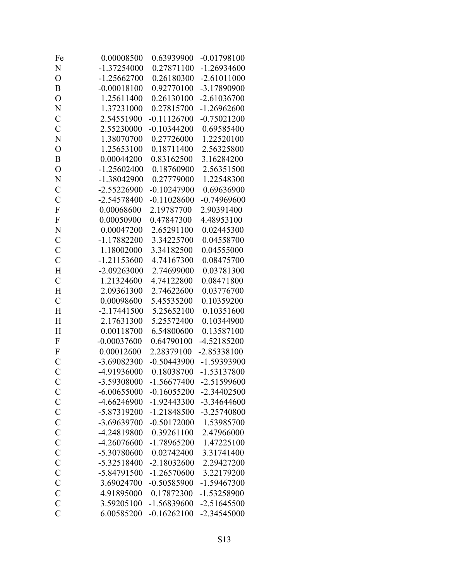| Fe                        | 0.00008500    | 0.63939900              | $-0.01798100$ |
|---------------------------|---------------|-------------------------|---------------|
| N                         | $-1.37254000$ | 0.27871100              | $-1.26934600$ |
| $\overline{O}$            | $-1.25662700$ | 0.26180300              | $-2.61011000$ |
| B                         | $-0.00018100$ | 0.92770100              | -3.17890900   |
| $\overline{O}$            | 1.25611400    | 0.26130100              | $-2.61036700$ |
| N                         | 1.37231000    | 0.27815700              | $-1.26962600$ |
| $\mathcal{C}$             | 2.54551900    | $-0.11126700$           | $-0.75021200$ |
| $\overline{C}$            | 2.55230000    | $-0.10344200$           | 0.69585400    |
| N                         | 1.38070700    | 0.27726000              | 1.22520100    |
| $\overline{O}$            | 1.25653100    | 0.18711400              | 2.56325800    |
| $\boldsymbol{B}$          | 0.00044200    | 0.83162500              | 3.16284200    |
| $\overline{O}$            | $-1.25602400$ | 0.18760900              | 2.56351500    |
| N                         | -1.38042900   | 0.27779000              | 1.22548300    |
| $\mathcal{C}$             | -2.55226900   | $-0.10247900$           | 0.69636900    |
| $\overline{C}$            | -2.54578400   | $-0.11028600$           | $-0.74969600$ |
| ${\bf F}$                 | 0.00068600    | 2.19787700              | 2.90391400    |
| $\mathbf F$               | 0.00050900    | 0.47847300              | 4.48953100    |
| N                         | 0.00047200    | 2.65291100              | 0.02445300    |
| $\mathcal{C}$             | $-1.17882200$ | 3.34225700              | 0.04558700    |
| $\mathbf C$               | 1.18002000    | 3.34182500              | 0.04555000    |
| $\overline{C}$            | $-1.21153600$ | 4.74167300              | 0.08475700    |
| H                         | $-2.09263000$ | 2.74699000              | 0.03781300    |
| $\mathcal{C}$             | 1.21324600    | 4.74122800              | 0.08471800    |
| H                         | 2.09361300    | 2.74622600              | 0.03776700    |
| $\mathcal{C}$             | 0.00098600    | 5.45535200              | 0.10359200    |
| H                         | $-2.17441500$ | 5.25652100              | 0.10351600    |
| H                         | 2.17631300    | 5.25572400              | 0.10344900    |
| H                         | 0.00118700    | 6.54800600              | 0.13587100    |
| $\overline{F}$            | $-0.00037600$ | 0.64790100              | -4.52185200   |
| $\boldsymbol{\mathrm{F}}$ | 0.00012600    | 2.28379100              | $-2.85338100$ |
| $\mathcal{C}$             | -3.69082300   | $-0.50443900$           | -1.59393900   |
| $\overline{C}$            | -4.91936000   | 0.18038700              | -1.53137800   |
| $\mathbf C$               | -3.59308000   | -1.56677400 -2.51599600 |               |
| $\mathcal{C}$             | $-6.00655000$ | $-0.16055200$           | $-2.34402500$ |
| $\mathcal{C}$             | -4.66246900   | $-1.92443300$           | -3.34644600   |
| $\mathcal{C}$             | -5.87319200   | $-1.21848500$           | -3.25740800   |
| $\mathcal{C}$             | -3.69639700   | $-0.50172000$           | 1.53985700    |
| $\mathcal{C}$             | -4.24819800   | 0.39261100              | 2.47966000    |
| $\mathcal{C}$             | -4.26076600   | -1.78965200             | 1.47225100    |
| $\mathbf C$               | -5.30780600   | 0.02742400              | 3.31741400    |
| $\overline{C}$            | $-5.32518400$ | $-2.18032600$           | 2.29427200    |
| $\mathcal{C}$             | -5.84791500   | $-1.26570600$           | 3.22179200    |
| $\mathbf C$               | 3.69024700    | $-0.50585900$           | -1.59467300   |
| $\mathcal{C}$             | 4.91895000    | 0.17872300              | -1.53258900   |
| $\mathcal{C}$             | 3.59205100    | -1.56839600             | $-2.51645500$ |
| $\overline{C}$            | 6.00585200    | $-0.16262100$           | -2.34545000   |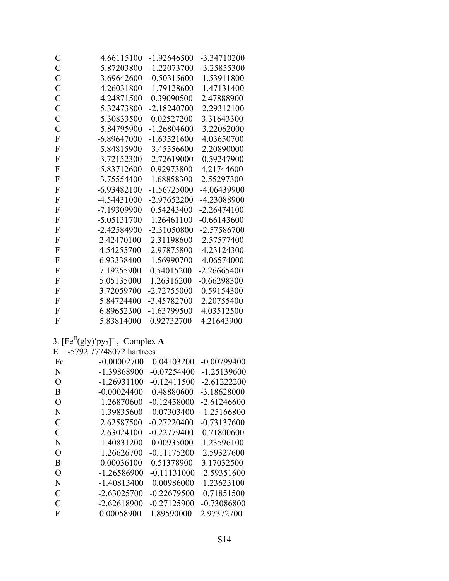| $\mathcal{C}$    | 4.66115100                           | $-1.92646500$             | -3.34710200            |
|------------------|--------------------------------------|---------------------------|------------------------|
| $\mathcal{C}$    | 5.87203800                           | $-1.22073700$             | -3.25855300            |
| $\mathcal{C}$    | 3.69642600                           | $-0.50315600$             | 1.53911800             |
| $\mathcal{C}$    | 4.26031800                           | $-1.79128600$             | 1.47131400             |
| $\mathcal{C}$    | 4.24871500                           | 0.39090500                | 2.47888900             |
| $\mathcal{C}$    | 5.32473800                           | $-2.18240700$             | 2.29312100             |
| $\overline{C}$   | 5.30833500                           | 0.02527200                | 3.31643300             |
| $\overline{C}$   | 5.84795900                           | $-1.26804600$             | 3.22062000             |
| $\mathbf F$      | $-6.89647000$                        | $-1.63521600$             | 4.03650700             |
| $\boldsymbol{F}$ | -5.84815900                          | $-3.45556600$             | 2.20890000             |
| $\mathbf F$      | -3.72152300                          | $-2.72619000$             | 0.59247900             |
| $\boldsymbol{F}$ | -5.83712600                          | 0.92973800                | 4.21744600             |
| F                | -3.75554400                          | 1.68858300                | 2.55297300             |
| ${\bf F}$        | $-6.93482100$                        | $-1.56725000$             | -4.06439900            |
| $\boldsymbol{F}$ | -4.54431000                          | $-2.97652200$             | -4.23088900            |
| ${\bf F}$        | -7.19309900                          | 0.54243400                | $-2.26474100$          |
| $\boldsymbol{F}$ | -5.05131700                          | 1.26461100                | $-0.66143600$          |
| $\mathbf F$      | -2.42584900                          | -2.31050800               | -2.57586700            |
| ${\bf F}$        | 2.42470100                           | -2.31198600               | -2.57577400            |
| $\boldsymbol{F}$ | 4.54255700                           | -2.97875800               | $-4.23124300$          |
| $\boldsymbol{F}$ | 6.93338400                           | $-1.56990700$             | -4.06574000            |
| ${\bf F}$        | 7.19255900                           | 0.54015200                | $-2.26665400$          |
| F                | 5.05135000                           | 1.26316200                | $-0.66298300$          |
| $\mathbf F$      | 3.72059700                           | -2.72755000               | 0.59154300             |
| $\boldsymbol{F}$ | 5.84724400                           | -3.45782700               | 2.20755400             |
| ${\bf F}$        | 6.89652300                           | $-1.63799500$             | 4.03512500             |
| F                | 5.83814000                           | 0.92732700                | 4.21643900             |
|                  | 3. $[Fe^{II}(gly)'py_2]$ , Complex A |                           |                        |
|                  | $E = -5792.77748072$ hartrees        |                           |                        |
| Fe               | $-0.00002700$                        |                           | 0.04103200 -0.00799400 |
| N                |                                      | -1.39868900 -0.07254400   | $-1.25139600$          |
| $\overline{O}$   |                                      | $-1.26931100 -0.12411500$ | 2.61222200             |
| Β                | $-0.00024400$                        | 0.48880600                | -3.18628000            |
| $\overline{O}$   | 1.26870600                           | $-0.12458000$             | $-2.61246600$          |
| N                | 1.39835600                           | $-0.07303400$             | $-1.25166800$          |
| $\mathcal{C}$    | 2.62587500                           | $-0.27220400$             | $-0.73137600$          |
| $\mathcal{C}$    | 2.63024100                           | $-0.22779400$             | 0.71800600             |
| N                | 1.40831200                           | 0.00935000                | 1.23596100             |
| $\overline{O}$   | 1.26626700                           | $-0.11175200$             | 2.59327600             |

| N             | -1.39868900   | -0.07254400   | $-1.25139600$ |
|---------------|---------------|---------------|---------------|
| $\Omega$      | $-1.26931100$ | $-0.12411500$ | $-2.61222200$ |
| B             | $-0.00024400$ | 0.48880600    | $-3.18628000$ |
| $\Omega$      | 1.26870600    | $-0.12458000$ | $-2.61246600$ |
| N             | 1.39835600    | $-0.07303400$ | $-1.25166800$ |
| $\mathcal{C}$ | 2.62587500    | $-0.27220400$ | $-0.73137600$ |
| $\mathcal{C}$ | 2.63024100    | $-0.22779400$ | 0.71800600    |
| N             | 1.40831200    | 0.00935000    | 1.23596100    |
| $\Omega$      | 1.26626700    | -0.11175200   | 2.59327600    |
| B             | 0.00036100    | 0.51378900    | 3.17032500    |
| $\Omega$      | $-1.26586900$ | $-0.11131000$ | 2.59351600    |
| N             | $-1.40813400$ | 0.00986000    | 1.23623100    |
| $\mathcal{C}$ | $-2.63025700$ | $-0.22679500$ | 0.71851500    |
| $\mathcal{C}$ | $-2.62618900$ | $-0.27125900$ | -0.73086800   |
| F             | 0.00058900    | 1.89590000    | 2.97372700    |
|               |               |               |               |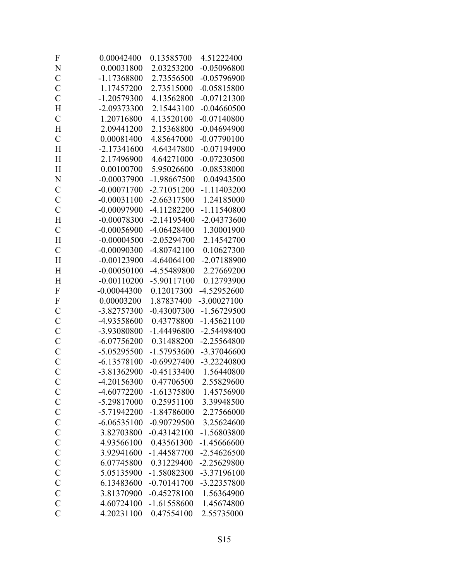| F                         | 0.00042400    | 0.13585700    | 4.51222400    |
|---------------------------|---------------|---------------|---------------|
| N                         | 0.00031800    | 2.03253200    | $-0.05096800$ |
| $\mathcal{C}$             | -1.17368800   | 2.73556500    | $-0.05796900$ |
| $\mathcal{C}$             | 1.17457200    | 2.73515000    | $-0.05815800$ |
| $\mathcal{C}$             | $-1.20579300$ | 4.13562800    | $-0.07121300$ |
| H                         | -2.09373300   | 2.15443100    | $-0.04660500$ |
| $\overline{C}$            | 1.20716800    | 4.13520100    | $-0.07140800$ |
| H                         | 2.09441200    | 2.15368800    | $-0.04694900$ |
| $\mathcal{C}$             | 0.00081400    | 4.85647000    | $-0.07790100$ |
| H                         | $-2.17341600$ | 4.64347800    | $-0.07194900$ |
| H                         | 2.17496900    | 4.64271000    | $-0.07230500$ |
| H                         | 0.00100700    | 5.95026600    | $-0.08538000$ |
| N                         | $-0.00037900$ | -1.98667500   | 0.04943500    |
| $\mathcal{C}$             | $-0.00071700$ | $-2.71051200$ | $-1.11403200$ |
| $\mathbf C$               | $-0.00031100$ | $-2.66317500$ | 1.24185000    |
| $\mathcal{C}$             | $-0.00097900$ | $-4.11282200$ | $-1.11540800$ |
| H                         | $-0.00078300$ | $-2.14195400$ | $-2.04373600$ |
| $\mathcal{C}$             | $-0.00056900$ | -4.06428400   | 1.30001900    |
| H                         | $-0.00004500$ | $-2.05294700$ | 2.14542700    |
| $\mathcal{C}$             | $-0.00090300$ | $-4.80742100$ | 0.10627300    |
| H                         | $-0.00123900$ | $-4.64064100$ | -2.07188900   |
| H                         | $-0.00050100$ | -4.55489800   | 2.27669200    |
| H                         | $-0.00110200$ | -5.90117100   | 0.12793900    |
| $\overline{F}$            | $-0.00044300$ | 0.12017300    | -4.52952600   |
| $\boldsymbol{\mathrm{F}}$ | 0.00003200    | 1.87837400    | $-3.00027100$ |
| $\mathbf C$               | -3.82757300   | $-0.43007300$ | $-1.56729500$ |
| $\mathbf C$               | -4.93558600   | 0.43778800    | $-1.45621100$ |
| $\mathcal{C}$             | -3.93080800   | $-1.44496800$ | -2.54498400   |
| $\mathbf C$               | $-6.07756200$ | 0.31488200    | $-2.25564800$ |
| $\mathcal{C}$             | -5.05295500   | -1.57953600   | -3.37046600   |
| $\mathcal{C}$             | $-6.13578100$ | $-0.69927400$ | -3.22240800   |
| $\overline{C}$            | -3.81362900   | $-0.45133400$ | 1.56440800    |
| $\mathcal{C}$             | -4.20156300   | 0.47706500    | 2.55829600    |
| $\mathbf C$               | -4.60772200   | $-1.61375800$ | 1.45756900    |
| $\mathcal{C}$             | -5.29817000   | 0.25951100    | 3.39948500    |
| $\mathcal{C}$             | -5.71942200   | $-1.84786000$ | 2.27566000    |
| $\mathcal{C}$             | $-6.06535100$ | $-0.90729500$ | 3.25624600    |
| $\mathcal{C}$             | 3.82703800    | $-0.43142100$ | -1.56803800   |
| $\mathcal{C}$             | 4.93566100    | 0.43561300    | $-1.45666600$ |
| $\mathcal{C}$             | 3.92941600    | $-1.44587700$ | $-2.54626500$ |
| $\mathcal{C}$             | 6.07745800    | 0.31229400    | -2.25629800   |
| $\mathcal{C}$             | 5.05135900    | $-1.58082300$ | -3.37196100   |
| $\mathbf C$               | 6.13483600    | $-0.70141700$ | -3.22357800   |
| $\mathcal{C}$             | 3.81370900    | $-0.45278100$ | 1.56364900    |
| $\mathcal{C}$             | 4.60724100    | $-1.61558600$ | 1.45674800    |
| $\overline{C}$            | 4.20231100    | 0.47554100    | 2.55735000    |
|                           |               |               |               |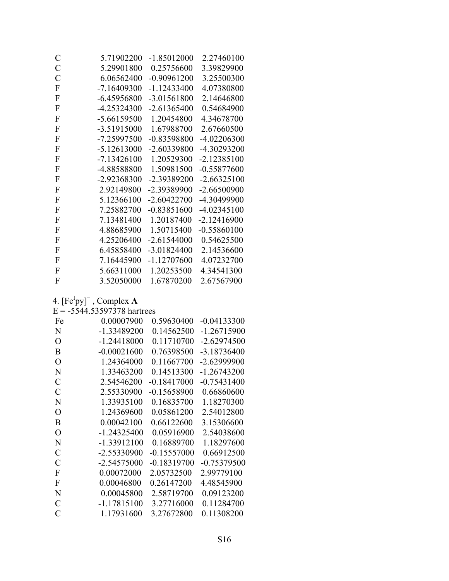| C              | 5.71902200    | $-1.85012000$ | 2.27460100    |
|----------------|---------------|---------------|---------------|
| $\mathcal{C}$  | 5.29901800    | 0.25756600    | 3.39829900    |
| $\overline{C}$ | 6.06562400    | $-0.90961200$ | 3.25500300    |
| ${\bf F}$      | $-7.16409300$ | $-1.12433400$ | 4.07380800    |
| F              | $-6.45956800$ | -3.01561800   | 2.14646800    |
| ${\bf F}$      | -4.25324300   | $-2.61365400$ | 0.54684900    |
| ${\bf F}$      | -5.66159500   | 1.20454800    | 4.34678700    |
| ${\bf F}$      | -3.51915000   | 1.67988700    | 2.67660500    |
| ${\bf F}$      | -7.25997500   | $-0.83598800$ | -4.02206300   |
| ${\bf F}$      | $-5.12613000$ | -2.60339800   | -4.30293200   |
| F              | $-7.13426100$ | 1.20529300    | $-2.12385100$ |
| ${\bf F}$      | -4.88588800   | 1.50981500    | $-0.55877600$ |
| F              | -2.92368300   | -2.39389200   | $-2.66325100$ |
| F              | 2.92149800    | -2.39389900   | $-2.66500900$ |
| ${\bf F}$      | 5.12366100    | $-2.60422700$ | -4.30499900   |
| ${\bf F}$      | 7.25882700    | $-0.83851600$ | $-4.02345100$ |
| F              | 7.13481400    | 1.20187400    | $-2.12416900$ |
| F              | 4.88685900    | 1.50715400    | $-0.55860100$ |
| ${\bf F}$      | 4.25206400    | $-2.61544000$ | 0.54625500    |
| ${\bf F}$      | 6.45858400    | $-3.01824400$ | 2.14536600    |
| F              | 7.16445900    | $-1.12707600$ | 4.07232700    |
| ${\bf F}$      | 5.66311000    | 1.20253500    | 4.34541300    |
| F              | 3.52050000    | 1.67870200    | 2.67567900    |

4.  $[Fe^Ipy]^-$ , Complex **A**<br>E = -5544.53597378 hartrees

| Fe             | 0.00007900    | 0.59630400    | -0.04133300   |
|----------------|---------------|---------------|---------------|
| N              | $-1.33489200$ | 0.14562500    | $-1.26715900$ |
| O              | $-1.24418000$ | 0.11710700    | $-2.62974500$ |
| B              | $-0.00021600$ | 0.76398500    | -3.18736400   |
| O              | 1.24364000    | 0.11667700    | $-2.62999900$ |
| N              | 1.33463200    | 0.14513300    | $-1.26743200$ |
| $\mathcal{C}$  | 2.54546200    | $-0.18417000$ | $-0.75431400$ |
| C              | 2.55330900    | $-0.15658900$ | 0.66860600    |
| N              | 1.33935100    | 0.16835700    | 1.18270300    |
| O              | 1.24369600    | 0.05861200    | 2.54012800    |
| B              | 0.00042100    | 0.66122600    | 3.15306600    |
| $\overline{O}$ | $-1.24325400$ | 0.05916900    | 2.54038600    |
| N              | $-1.33912100$ | 0.16889700    | 1.18297600    |
| $\mathcal{C}$  | $-2.55330900$ | $-0.15557000$ | 0.66912500    |
| C              | $-2.54575000$ | $-0.18319700$ | $-0.75379500$ |
| F              | 0.00072000    | 2.05732500    | 2.99779100    |
| F              | 0.00046800    | 0.26147200    | 4.48545900    |
| N              | 0.00045800    | 2.58719700    | 0.09123200    |
| $\overline{C}$ | $-1.17815100$ | 3.27716000    | 0.11284700    |
| C              | 1.17931600    | 3.27672800    | 0.11308200    |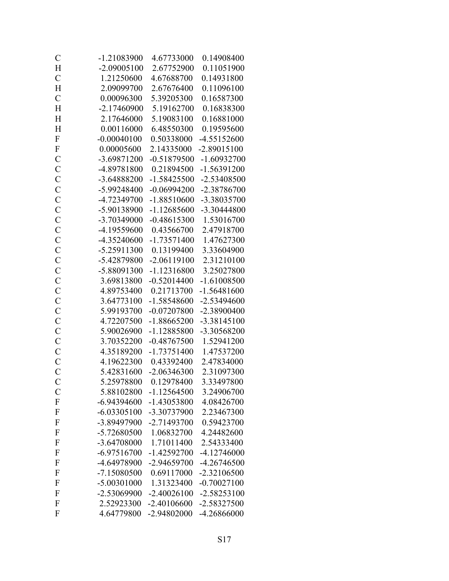| $\mathcal{C}$  | $-1.21083900$ | 4.67733000    | 0.14908400    |
|----------------|---------------|---------------|---------------|
| H              | $-2.09005100$ | 2.67752900    | 0.11051900    |
| $\mathcal{C}$  | 1.21250600    | 4.67688700    | 0.14931800    |
| H              | 2.09099700    | 2.67676400    | 0.11096100    |
| $\mathcal{C}$  | 0.00096300    | 5.39205300    | 0.16587300    |
| H              | $-2.17460900$ | 5.19162700    | 0.16838300    |
| H              | 2.17646000    | 5.19083100    | 0.16881000    |
| H              | 0.00116000    | 6.48550300    | 0.19595600    |
| $\mathbf F$    | $-0.00040100$ | 0.50338000    | $-4.55152600$ |
| $\mathbf F$    | 0.00005600    | 2.14335000    | $-2.89015100$ |
| $\mathcal{C}$  | -3.69871200   | $-0.51879500$ | $-1.60932700$ |
| $\mathbf C$    | -4.89781800   | 0.21894500    | $-1.56391200$ |
| $\mathcal{C}$  | -3.64888200   | $-1.58425500$ | -2.53408500   |
| $\mathcal{C}$  | -5.99248400   | $-0.06994200$ | -2.38786700   |
| $\mathcal{C}$  | -4.72349700   | $-1.88510600$ | -3.38035700   |
| $\mathbf C$    | -5.90138900   | $-1.12685600$ | -3.30444800   |
| $\mathcal{C}$  | -3.70349000   | $-0.48615300$ | 1.53016700    |
| $\mathcal{C}$  | -4.19559600   | 0.43566700    | 2.47918700    |
| $\mathcal{C}$  | -4.35240600   | $-1.73571400$ | 1.47627300    |
| $\mathcal{C}$  | $-5.25911300$ | 0.13199400    | 3.33604900    |
| $\overline{C}$ | -5.42879800   | $-2.06119100$ | 2.31210100    |
| $\mathbf C$    | -5.88091300   | $-1.12316800$ | 3.25027800    |
| $\mathbf C$    | 3.69813800    | $-0.52014400$ | $-1.61008500$ |
| $\overline{C}$ | 4.89753400    | 0.21713700    | $-1.56481600$ |
| $\mathcal{C}$  | 3.64773100    | $-1.58548600$ | $-2.53494600$ |
| $\mathcal{C}$  | 5.99193700    | $-0.07207800$ | -2.38900400   |
| $\mathcal{C}$  | 4.72207500    | $-1.88665200$ | $-3.38145100$ |
| $\mathcal{C}$  | 5.90026900    | $-1.12885800$ | -3.30568200   |
| $\mathcal{C}$  | 3.70352200    | $-0.48767500$ | 1.52941200    |
| $\mathbf C$    | 4.35189200    | $-1.73751400$ | 1.47537200    |
| $\mathcal{C}$  | 4.19622300    | 0.43392400    | 2.47834000    |
| $\overline{C}$ | 5.42831600    | $-2.06346300$ | 2.31097300    |
| $\mathcal{C}$  | 5.25978800    | 0.12978400    | 3.33497800    |
| $\mathcal{C}$  | 5.88102800    | $-1.12564500$ | 3.24906700    |
| $\mathbf F$    | $-6.94394600$ | -1.43053800   | 4.08426700    |
| $\mathbf{F}$   | $-6.03305100$ | -3.30737900   | 2.23467300    |
| $\mathbf{F}$   | -3.89497900   | -2.71493700   | 0.59423700    |
| F              | -5.72680500   | 1.06832700    | 4.24482600    |
| F              | -3.64708000   | 1.71011400    | 2.54333400    |
| $\mathbf{F}$   | $-6.97516700$ | $-1.42592700$ | $-4.12746000$ |
| $\mathbf{F}$   | -4.64978900   | -2.94659700   | $-4.26746500$ |
| $\mathbf{F}$   | $-7.15080500$ | 0.69117000    | $-2.32106500$ |
| F              | $-5.00301000$ | 1.31323400    | $-0.70027100$ |
| $\mathbf{F}$   | -2.53069900   | $-2.40026100$ | $-2.58253100$ |
| $\mathbf{F}$   | 2.52923300    | $-2.40106600$ | -2.58327500   |
| F              | 4.64779800    | -2.94802000   | -4.26866000   |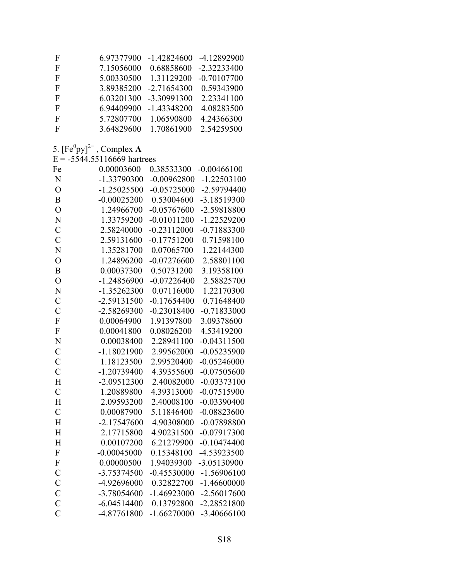| F | 6.97377900 | $-1.42824600$ | -4.12892900   |
|---|------------|---------------|---------------|
| F | 7.15056000 | 0.68858600    | $-2.32233400$ |
| F | 5.00330500 | 1.31129200    | $-0.70107700$ |
| F | 3.89385200 | $-2.71654300$ | 0.59343900    |
| F | 6.03201300 | -3.30991300   | 2.23341100    |
| F | 6.94409900 | $-1.43348200$ | 4.08283500    |
| F | 5.72807700 | 1.06590800    | 4.24366300    |
| F | 3.64829600 | 1.70861900    | 2.54259500    |

### 5.  $[Fe^0py]^2$ <sup>-</sup>, Complex **A**<br>E = -5544.55116669 hartrees

| Fe                 | 0.00003600    | 0.38533300    | $-0.00466100$ |
|--------------------|---------------|---------------|---------------|
| N                  | -1.33790300   | $-0.00962800$ | $-1.22503100$ |
| $\overline{O}$     | $-1.25025500$ | $-0.05725000$ | -2.59794400   |
| $\overline{B}$     | $-0.00025200$ | 0.53004600    | -3.18519300   |
| $\overline{O}$     | 1.24966700    | $-0.05767600$ | -2.59818800   |
| $\overline{\rm N}$ | 1.33759200    | $-0.01011200$ | $-1.22529200$ |
| $\overline{C}$     | 2.58240000    | $-0.23112000$ | $-0.71883300$ |
| $\overline{C}$     | 2.59131600    | $-0.17751200$ | 0.71598100    |
| $\overline{\rm N}$ | 1.35281700    | 0.07065700    | 1.22144300    |
| $\overline{O}$     | 1.24896200    | $-0.07276600$ | 2.58801100    |
| $\overline{B}$     | 0.00037300    | 0.50731200    | 3.19358100    |
| $\overline{O}$     | $-1.24856900$ | $-0.07226400$ | 2.58825700    |
| N                  | $-1.35262300$ | 0.07116000    | 1.22170300    |
| $\overline{C}$     | -2.59131500   | $-0.17654400$ | 0.71648400    |
| $\mathcal{C}$      | -2.58269300   | $-0.23018400$ | $-0.71833000$ |
| F                  | 0.00064900    | 1.91397800    | 3.09378600    |
| F                  | 0.00041800    | 0.08026200    | 4.53419200    |
| $\overline{N}$     | 0.00038400    | 2.28941100    | $-0.04311500$ |
| $\mathcal{C}$      | $-1.18021900$ | 2.99562000    | $-0.05235900$ |
| $\overline{C}$     | 1.18123500    | 2.99520400    | $-0.05246000$ |
| $\overline{C}$     | $-1.20739400$ | 4.39355600    | $-0.07505600$ |
| H                  | $-2.09512300$ | 2.40082000    | $-0.03373100$ |
| $\overline{C}$     | 1.20889800    | 4.39313000    | $-0.07515900$ |
| H                  | 2.09593200    | 2.40008100    | $-0.03390400$ |
| $\overline{C}$     | 0.00087900    | 5.11846400    | $-0.08823600$ |
| $\overline{H}$     | $-2.17547600$ | 4.90308000    | $-0.07898800$ |
| H                  | 2.17715800    | 4.90231500    | $-0.07917300$ |
| $\overline{H}$     | 0.00107200    | 6.21279900    | $-0.10474400$ |
| $\mathbf F$        | $-0.00045000$ | 0.15348100    | -4.53923500   |
| F                  | 0.00000500    | 1.94039300    | -3.05130900   |
| $\overline{C}$     | -3.75374500   | $-0.45530000$ | $-1.56906100$ |
| $\mathbf C$        | -4.92696000   | 0.32822700    | $-1.46600000$ |
| $\mathcal{C}$      | -3.78054600   | $-1.46923000$ | $-2.56017600$ |
| $\overline{C}$     | $-6.04514400$ | 0.13792800    | $-2.28521800$ |
| $\overline{C}$     | -4.87761800   | $-1.66270000$ | -3.40666100   |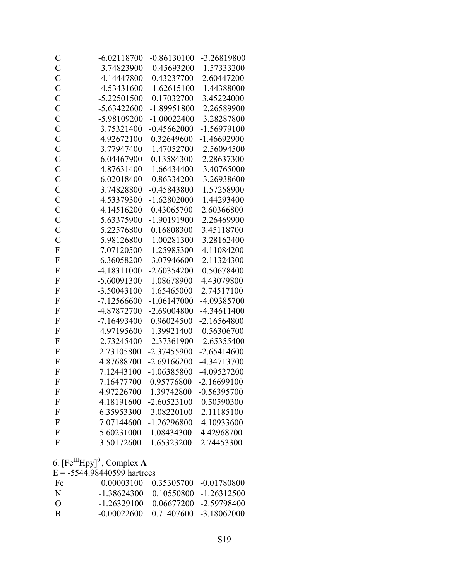| $\mathcal{C}$             | $-6.02118700$ | $-0.86130100$ | -3.26819800   |
|---------------------------|---------------|---------------|---------------|
| $\mathcal{C}$             | -3.74823900   | $-0.45693200$ | 1.57333200    |
| $\mathbf C$               | $-4.14447800$ | 0.43237700    | 2.60447200    |
| $\mathcal{C}$             | -4.53431600   | $-1.62615100$ | 1.44388000    |
| $\mathcal{C}$             | $-5.22501500$ | 0.17032700    | 3.45224000    |
| $\mathcal{C}$             | $-5.63422600$ | $-1.89951800$ | 2.26589900    |
| $\mathbf C$               | -5.98109200   | $-1.00022400$ | 3.28287800    |
| $\mathcal{C}$             | 3.75321400    | $-0.45662000$ | $-1.56979100$ |
| $\mathcal{C}$             | 4.92672100    | 0.32649600    | $-1.46692900$ |
| $\mathbf C$               | 3.77947400    | $-1.47052700$ | $-2.56094500$ |
| $\mathcal{C}$             | 6.04467900    | 0.13584300    | $-2.28637300$ |
| $\mathcal{C}$             | 4.87631400    | $-1.66434400$ | -3.40765000   |
| $\mathcal{C}$             | 6.02018400    | $-0.86334200$ | -3.26938600   |
| $\mathcal{C}$             | 3.74828800    | $-0.45843800$ | 1.57258900    |
| $\mathcal{C}$             | 4.53379300    | $-1.62802000$ | 1.44293400    |
| $\mathcal{C}$             | 4.14516200    | 0.43065700    | 2.60366800    |
| $\mathbf C$               | 5.63375900    | -1.90191900   | 2.26469900    |
| $\mathcal{C}$             | 5.22576800    | 0.16808300    | 3.45118700    |
| $\mathcal{C}$             | 5.98126800    | $-1.00281300$ | 3.28162400    |
| $\boldsymbol{\mathrm{F}}$ | -7.07120500   | $-1.25985300$ | 4.11084200    |
| $\mathbf F$               | $-6.36058200$ | -3.07946600   | 2.11324300    |
| $\overline{F}$            | $-4.18311000$ | $-2.60354200$ | 0.50678400    |
| $\mathbf{F}$              | -5.60091300   | 1.08678900    | 4.43079800    |
| $\mathbf F$               | $-3.50043100$ | 1.65465000    | 2.74517100    |
| $\mathbf F$               | $-7.12566600$ | $-1.06147000$ | -4.09385700   |
| $\mathbf F$               | -4.87872700   | $-2.69004800$ | -4.34611400   |
| $\mathbf F$               | $-7.16493400$ | 0.96024500    | $-2.16564800$ |
| $\mathbf{F}$              | -4.97195600   | 1.39921400    | $-0.56306700$ |
| $\overline{F}$            | $-2.73245400$ | -2.37361900   | $-2.65355400$ |
| $\mathbf{F}$              | 2.73105800    | -2.37455900   | $-2.65414600$ |
| $\mathbf{F}$              | 4.87688700    | $-2.69166200$ | -4.34713700   |
| $\boldsymbol{\mathrm{F}}$ | 7.12443100    | $-1.06385800$ | -4.09527200   |
| $\Gamma$                  | 7.16477700    | 0.95776800    | $-2.16699100$ |
| F                         | 4.97226700    | 1.39742800    | $-0.56395700$ |
| $\boldsymbol{\mathrm{F}}$ | 4.18191600    | $-2.60523100$ | 0.50590300    |
| F                         | 6.35953300    | -3.08220100   | 2.11185100    |
| ${\bf F}$                 | 7.07144600    | $-1.26296800$ | 4.10933600    |
| F                         | 5.60231000    | 1.08434300    | 4.42968700    |
| F                         | 3.50172600    | 1.65323200    | 2.74453300    |

6.  $[Fe^{III}Hpy]$ <sup>0</sup>, Complex **A** 

 $E = -5544.98440599$  hartrees

| Fe       | 0.00003100                             |                        | $0.35305700 - 0.01780800$ |
|----------|----------------------------------------|------------------------|---------------------------|
| -N       | -138624300                             | 0 10550800 -1 26312500 |                           |
| $\left($ | -1 26329100                            |                        | 0.06677200 -2.59798400    |
| -R       | $-0.00022600 - 0.71407600 -3.18062000$ |                        |                           |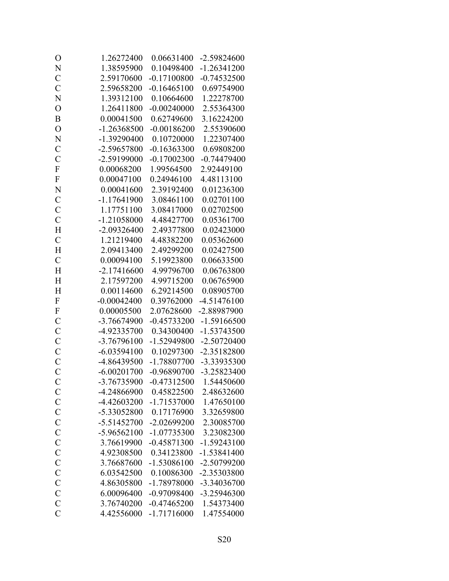| O              | 1.26272400    | 0.06631400    | -2.59824600   |
|----------------|---------------|---------------|---------------|
| N              | 1.38595900    | 0.10498400    | $-1.26341200$ |
| $\mathcal{C}$  | 2.59170600    | $-0.17100800$ | $-0.74532500$ |
| $\overline{C}$ | 2.59658200    | $-0.16465100$ | 0.69754900    |
| N              | 1.39312100    | 0.10664600    | 1.22278700    |
| $\overline{O}$ | 1.26411800    | $-0.00240000$ | 2.55364300    |
| B              | 0.00041500    | 0.62749600    | 3.16224200    |
| $\overline{O}$ | $-1.26368500$ | $-0.00186200$ | 2.55390600    |
| N              | -1.39290400   | 0.10720000    | 1.22307400    |
| $\mathcal{C}$  | -2.59657800   | $-0.16363300$ | 0.69808200    |
| $\overline{C}$ | -2.59199000   | $-0.17002300$ | $-0.74479400$ |
| F              | 0.00068200    | 1.99564500    | 2.92449100    |
| $\mathbf{F}$   | 0.00047100    | 0.24946100    | 4.48113100    |
| N              | 0.00041600    | 2.39192400    | 0.01236300    |
| $\mathcal{C}$  | $-1.17641900$ | 3.08461100    | 0.02701100    |
| $\mathcal{C}$  | 1.17751100    | 3.08417000    | 0.02702500    |
| $\overline{C}$ | $-1.21058000$ | 4.48427700    | 0.05361700    |
| H              | $-2.09326400$ | 2.49377800    | 0.02423000    |
| $\mathcal{C}$  | 1.21219400    | 4.48382200    | 0.05362600    |
| H              | 2.09413400    | 2.49299200    | 0.02427500    |
| $\mathcal{C}$  | 0.00094100    | 5.19923800    | 0.06633500    |
| H              | $-2.17416600$ | 4.99796700    | 0.06763800    |
| H              | 2.17597200    | 4.99715200    | 0.06765900    |
| H              | 0.00114600    | 6.29214500    | 0.08905700    |
| $\mathbf F$    | $-0.00042400$ | 0.39762000    | $-4.51476100$ |
| $\mathbf{F}$   | 0.00005500    | 2.07628600    | -2.88987900   |
| $\mathcal{C}$  | -3.76674900   | $-0.45733200$ | $-1.59166500$ |
| $\mathbf C$    | -4.92335700   | 0.34300400    | $-1.53743500$ |
| $\mathbf C$    | -3.76796100   | -1.52949800   | $-2.50720400$ |
| $\mathcal{C}$  | $-6.03594100$ | 0.10297300    | -2.35182800   |
| $\overline{C}$ | -4.86439500   | $-1.78807700$ | -3.33935300   |
| $\overline{C}$ | $-6.00201700$ | $-0.96890700$ | -3.25823400   |
| $\mathcal{C}$  | -3.76735900   | $-0.47312500$ | 1.54450600    |
| $\mathcal{C}$  | -4.24866900   | 0.45822500    | 2.48632600    |
| $\mathcal{C}$  | -4.42603200   | -1.71537000   | 1.47650100    |
| $\mathcal{C}$  | -5.33052800   | 0.17176900    | 3.32659800    |
| $\mathcal{C}$  | $-5.51452700$ | $-2.02699200$ | 2.30085700    |
| $\mathbf C$    | $-5.96562100$ | $-1.07735300$ | 3.23082300    |
| $\mathcal{C}$  | 3.76619900    | $-0.45871300$ | $-1.59243100$ |
| $\mathcal{C}$  | 4.92308500    | 0.34123800    | $-1.53841400$ |
| $\mathcal{C}$  | 3.76687600    | $-1.53086100$ | -2.50799200   |
| $\mathcal{C}$  | 6.03542500    | 0.10086300    | -2.35303800   |
| $\mathbf C$    | 4.86305800    | -1.78978000   | -3.34036700   |
| $\mathcal{C}$  | 6.00096400    | $-0.97098400$ | -3.25946300   |
| $\mathcal{C}$  | 3.76740200    | $-0.47465200$ | 1.54373400    |
| $\overline{C}$ | 4.42556000    | $-1.71716000$ | 1.47554000    |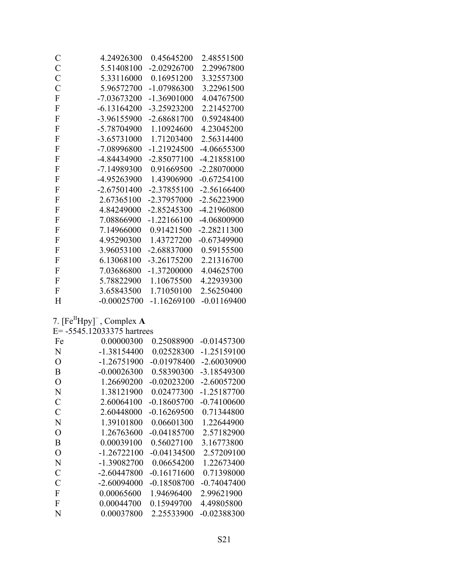| C                | 4.24926300    | 0.45645200    | 2.48551500    |
|------------------|---------------|---------------|---------------|
| $\mathcal{C}$    | 5.51408100    | $-2.02926700$ | 2.29967800    |
| $\mathcal{C}$    | 5.33116000    | 0.16951200    | 3.32557300    |
| $\mathcal{C}$    | 5.96572700    | -1.07986300   | 3.22961500    |
| ${\bf F}$        | $-7.03673200$ | $-1.36901000$ | 4.04767500    |
| ${\bf F}$        | $-6.13164200$ | -3.25923200   | 2.21452700    |
| ${\bf F}$        | -3.96155900   | $-2.68681700$ | 0.59248400    |
| ${\bf F}$        | -5.78704900   | 1.10924600    | 4.23045200    |
| ${\bf F}$        | -3.65731000   | 1.71203400    | 2.56314400    |
| ${\bf F}$        | -7.08996800   | $-1.21924500$ | -4.06655300   |
| ${\bf F}$        | -4.84434900   | $-2.85077100$ | -4.21858100   |
| ${\bf F}$        | -7.14989300   | 0.91669500    | $-2.28070000$ |
| ${\bf F}$        | -4.95263900   | 1.43906900    | $-0.67254100$ |
| F                | $-2.67501400$ | $-2.37855100$ | $-2.56166400$ |
| ${\bf F}$        | 2.67365100    | -2.37957000   | $-2.56223900$ |
| F                | 4.84249000    | $-2.85245300$ | -4.21960800   |
| ${\bf F}$        | 7.08866900    | $-1.22166100$ | -4.06800900   |
| ${\bf F}$        | 7.14966000    | 0.91421500    | $-2.28211300$ |
| F                | 4.95290300    | 1.43727200    | $-0.67349900$ |
| F                | 3.96053100    | -2.68837000   | 0.59155500    |
| F                | 6.13068100    | $-3.26175200$ | 2.21316700    |
| F                | 7.03686800    | $-1.37200000$ | 4.04625700    |
| $\boldsymbol{F}$ | 5.78822900    | 1.10675500    | 4.22939300    |
| $\boldsymbol{F}$ | 3.65843500    | 1.71050100    | 2.56250400    |
| H                | $-0.00025700$ | $-1.16269100$ | $-0.01169400$ |

7.  $[Fe^{II}Hpy]^{-}$ , Complex A

|  | E= -5545.12033375 hartrees |  |
|--|----------------------------|--|
|--|----------------------------|--|

| Fe            | 0.00000300    | 0.25088900    | $-0.01457300$ |
|---------------|---------------|---------------|---------------|
| N             | $-1.38154400$ | 0.02528300    | $-1.25159100$ |
| O             | $-1.26751900$ | $-0.01978400$ | $-2.60030900$ |
| B             | $-0.00026300$ | 0.58390300    | -3.18549300   |
| O             | 1.26690200    | $-0.02023200$ | $-2.60057200$ |
| N             | 1.38121900    | 0.02477300    | $-1.25187700$ |
| C             | 2.60064100    | $-0.18605700$ | -0.74100600   |
|               |               |               |               |
| C             | 2.60448000    | -0.16269500   | 0.71344800    |
| N             | 1.39101800    | 0.06601300    | 1.22644900    |
| O             | 1.26763600    | $-0.04185700$ | 2.57182900    |
| B             | 0.00039100    | 0.56027100    | 3.16773800    |
| O             | $-1.26722100$ | -0.04134500   | 2.57209100    |
| N             | -1.39082700   | 0.06654200    | 1.22673400    |
| $\mathcal{C}$ | $-2.60447800$ | -0.16171600   | 0.71398000    |
| C             | $-2.60094000$ | $-0.18508700$ | $-0.74047400$ |
| F             | 0.00065600    | 1.94696400    | 2.99621900    |
| F             | 0.00044700    | 0.15949700    | 4.49805800    |
| N             | 0.00037800    | 2.25533900    | -0.02388300   |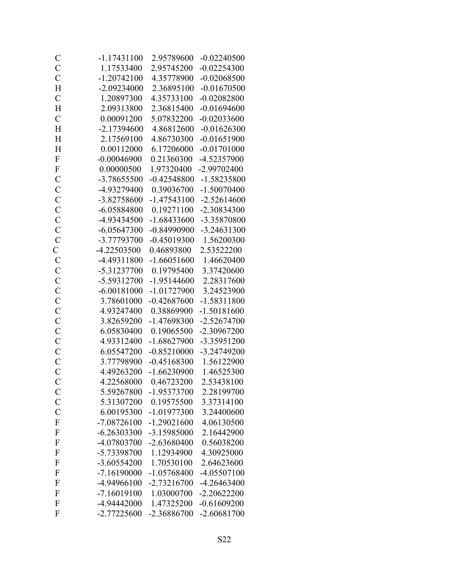| $\mathcal{C}$  | $-1.17431100$ | 2.95789600    | $-0.02240500$ |
|----------------|---------------|---------------|---------------|
| $\mathcal{C}$  | 1.17533400    | 2.95745200    | $-0.02254300$ |
| $\mathcal{C}$  | $-1.20742100$ | 4.35778900    | $-0.02068500$ |
| H              | -2.09234000   | 2.36895100    | $-0.01670500$ |
| $\mathcal{C}$  | 1.20897300    | 4.35733100    | $-0.02082800$ |
| H              | 2.09313800    | 2.36815400    | $-0.01694600$ |
| $\mathcal{C}$  | 0.00091200    | 5.07832200    | $-0.02033600$ |
| H              | $-2.17394600$ | 4.86812600    | $-0.01626300$ |
| H              | 2.17569100    | 4.86730300    | $-0.01651900$ |
| H              | 0.00112000    | 6.17206000    | $-0.01701000$ |
| $\overline{F}$ | $-0.00046900$ | 0.21360300    | -4.52357900   |
| $\mathbf F$    | 0.00000500    | 1.97320400    | -2.99702400   |
| $\mathcal{C}$  | -3.78655500   | $-0.42548800$ | -1.58235800   |
| $\mathcal{C}$  | -4.93279400   | 0.39036700    | $-1.50070400$ |
| $\mathcal{C}$  | -3.82758600   | $-1.47543100$ | $-2.52614600$ |
| $\mathcal{C}$  | $-6.05884800$ | 0.19271100    | -2.30834300   |
| $\mathcal{C}$  | -4.93434500   | $-1.68433600$ | -3.35870800   |
| $\mathbf C$    | $-6.05647300$ | $-0.84990900$ | -3.24631300   |
| $\overline{C}$ | -3.77793700   | $-0.45019300$ | 1.56200300    |
| $\mathbf{C}$   | $-4.22503500$ | 0.46893800    | 2.53522200    |
| $\mathcal{C}$  | -4.49311800   | $-1.66051600$ | 1.46620400    |
| $\mathbf C$    | -5.31237700   | 0.19795400    | 3.37420600    |
| $\mathcal{C}$  | -5.59312700   | $-1.95144600$ | 2.28317600    |
| $\mathcal{C}$  | $-6.00181000$ | $-1.01727900$ | 3.24523900    |
| $\mathcal{C}$  | 3.78601000    | $-0.42687600$ | $-1.58311800$ |
| $\mathcal{C}$  | 4.93247400    | 0.38869900    | $-1.50181600$ |
| $\mathcal{C}$  | 3.82659200    | -1.47698300   | $-2.52674700$ |
| $\mathcal{C}$  | 6.05830400    | 0.19065500    | -2.30967200   |
| $\mathcal{C}$  | 4.93312400    | $-1.68627900$ | -3.35951200   |
| $\mathbf C$    | 6.05547200    | $-0.85210000$ | -3.24749200   |
| $\overline{C}$ | 3.77798900    | $-0.45168300$ | 1.56122900    |
| $\overline{C}$ | 4.49263200    | $-1.66230900$ | 1.46525300    |
| $\mathcal{C}$  | 4.22568000    | 0.46723200    | 2.53438100    |
| $\mathcal{C}$  | 5.59267800    | $-1.95373700$ | 2.28199700    |
| $\mathcal{C}$  | 5.31307200    | 0.19575500    | 3.37314100    |
| $\mathbf C$    | 6.00195300    | $-1.01977300$ | 3.24400600    |
| ${\bf F}$      | $-7.08726100$ | $-1.29021600$ | 4.06130500    |
| $\mathbf{F}$   | $-6.26303300$ | -3.15985000   | 2.16442900    |
| F              | -4.07803700   | $-2.63680400$ | 0.56038200    |
| $\mathbf{F}$   | -5.73398700   | 1.12934900    | 4.30925000    |
| $\mathbf{F}$   | $-3.60554200$ | 1.70530100    | 2.64623600    |
| $\mathbf{F}$   | $-7.16190000$ | $-1.05768400$ | -4.05507100   |
| F              | -4.94966100   | $-2.73216700$ | -4.26463400   |
| $\mathbf{F}$   | $-7.16019100$ | 1.03000700    | $-2.20622200$ |
| $\mathbf{F}$   | -4.94442000   | 1.47325200    | $-0.61609200$ |
| F              | -2.77225600   | -2.36886700   | $-2.60681700$ |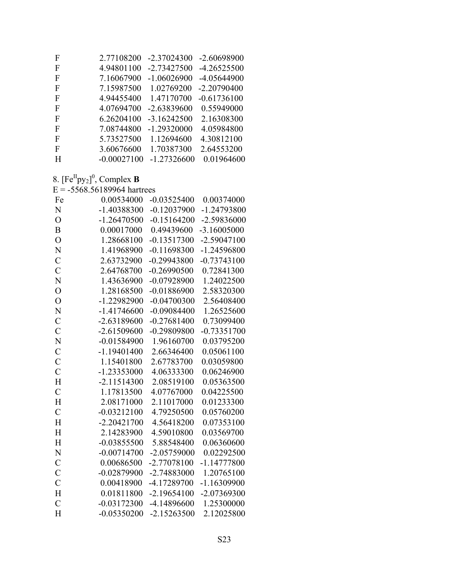| F | 2.77108200    | $-2.37024300$ | -2.60698900   |
|---|---------------|---------------|---------------|
| F | 4.94801100    | $-2.73427500$ | $-4.26525500$ |
| F | 7.16067900    | $-1.06026900$ | -4.05644900   |
| F | 7.15987500    | 1.02769200    | $-2.20790400$ |
| F | 4.94455400    | 1.47170700    | $-0.61736100$ |
| F | 4.07694700    | $-2.63839600$ | 0.55949000    |
| F | 6.26204100    | $-3.16242500$ | 2.16308300    |
| F | 7.08744800    | $-1.29320000$ | 4.05984800    |
| F | 5.73527500    | 1.12694600    | 4.30812100    |
| F | 3.60676600    | 1.70387300    | 2.64553200    |
| H | $-0.00027100$ | $-1.27326600$ | 0.01964600    |
|   |               |               |               |

8.  $[Fe^{II}py_2]^0$ , Complex **B**<br>E = -5568.56189964 hartrees

| Fe             | 0.00534000    | $-0.03525400$ | 0.00374000    |
|----------------|---------------|---------------|---------------|
| N              | $-1.40388300$ | $-0.12037900$ | -1.24793800   |
| $\overline{O}$ | $-1.26470500$ | $-0.15164200$ | -2.59836000   |
| B              | 0.00017000    | 0.49439600    | $-3.16005000$ |
| $\overline{O}$ | 1.28668100    | $-0.13517300$ | $-2.59047100$ |
| N              | 1.41968900    | $-0.11698300$ | -1.24596800   |
| $\mathcal{C}$  | 2.63732900    | $-0.29943800$ | $-0.73743100$ |
| $\overline{C}$ | 2.64768700    | $-0.26990500$ | 0.72841300    |
| N              | 1.43636900    | $-0.07928900$ | 1.24022500    |
| $\overline{O}$ | 1.28168500    | $-0.01886900$ | 2.58320300    |
| $\overline{O}$ | -1.22982900   | $-0.04700300$ | 2.56408400    |
| N              | $-1.41746600$ | $-0.09084400$ | 1.26525600    |
| $\mathcal{C}$  | $-2.63189600$ | $-0.27681400$ | 0.73099400    |
| $\overline{C}$ | $-2.61509600$ | $-0.29809800$ | $-0.73351700$ |
| N              | $-0.01584900$ | 1.96160700    | 0.03795200    |
| $\mathcal{C}$  | $-1.19401400$ | 2.66346400    | 0.05061100    |
| $\overline{C}$ | 1.15401800    | 2.67783700    | 0.03059800    |
| $\overline{C}$ | $-1.23353000$ | 4.06333300    | 0.06246900    |
| H              | $-2.11514300$ | 2.08519100    | 0.05363500    |
| $\mathcal{C}$  | 1.17813500    | 4.07767000    | 0.04225500    |
| $\overline{H}$ | 2.08171000    | 2.11017000    | 0.01233300    |
| $\overline{C}$ | $-0.03212100$ | 4.79250500    | 0.05760200    |
| H              | $-2.20421700$ | 4.56418200    | 0.07353100    |
| H              | 2.14283900    | 4.59010800    | 0.03569700    |
| $\overline{H}$ | $-0.03855500$ | 5.88548400    | 0.06360600    |
| N              | $-0.00714700$ | $-2.05759000$ | 0.02292500    |
| $\mathcal{C}$  | 0.00686500    | -2.77078100   | $-1.14777800$ |
| $\mathbf C$    | $-0.02879900$ | -2.74883000   | 1.20765100    |
| $\overline{C}$ | 0.00418900    | -4.17289700   | $-1.16309900$ |
| $\overline{H}$ | 0.01811800    | $-2.19654100$ | -2.07369300   |
| $\overline{C}$ | $-0.03172300$ | -4.14896600   | 1.25300000    |
| $\overline{H}$ | $-0.05350200$ | $-2.15263500$ | 2.12025800    |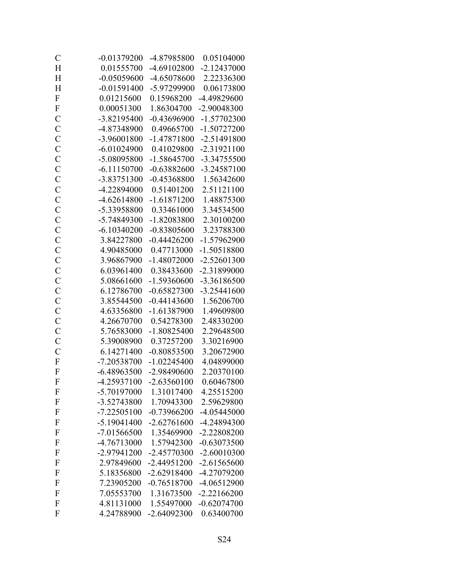| $\mathcal{C}$             | $-0.01379200$ | -4.87985800   | 0.05104000    |
|---------------------------|---------------|---------------|---------------|
| H                         | 0.01555700    | -4.69102800   | $-2.12437000$ |
| H                         | $-0.05059600$ | -4.65078600   | 2.22336300    |
| H                         | $-0.01591400$ | -5.97299900   | 0.06173800    |
| $\mathbf F$               | 0.01215600    | 0.15968200    | -4.49829600   |
| $\mathbf F$               | 0.00051300    | 1.86304700    | -2.90048300   |
| $\mathcal{C}$             | -3.82195400   | $-0.43696900$ | $-1.57702300$ |
| $\mathbf C$               | -4.87348900   | 0.49665700    | $-1.50727200$ |
| $\mathbf C$               | -3.96001800   | $-1.47871800$ | $-2.51491800$ |
| $\mathcal{C}$             | $-6.01024900$ | 0.41029800    | $-2.31921100$ |
| $\mathcal{C}$             | -5.08095800   | $-1.58645700$ | $-3.34755500$ |
| $\mathcal{C}$             | $-6.11150700$ | $-0.63882600$ | -3.24587100   |
| $\mathcal{C}$             | -3.83751300   | $-0.45368800$ | 1.56342600    |
| $\overline{C}$            | -4.22894000   | 0.51401200    | 2.51121100    |
| $\mathcal{C}$             | $-4.62614800$ | $-1.61871200$ | 1.48875300    |
| $\mathbf C$               | -5.33958800   | 0.33461000    | 3.34534500    |
| $\mathcal{C}$             | -5.74849300   | $-1.82083800$ | 2.30100200    |
| $\mathcal{C}$             | $-6.10340200$ | $-0.83805600$ | 3.23788300    |
| $\mathcal{C}$             | 3.84227800    | $-0.44426200$ | -1.57962900   |
| $\mathcal{C}$             | 4.90485000    | 0.47713000    | $-1.50518800$ |
| $\overline{C}$            | 3.96867900    | $-1.48072000$ | $-2.52601300$ |
| $\mathbf C$               | 6.03961400    | 0.38433600    | -2.31899000   |
| $\mathbf C$               | 5.08661600    | -1.59360600   | -3.36186500   |
| $\overline{C}$            | 6.12786700    | $-0.65827300$ | $-3.25441600$ |
| $\mathcal{C}$             | 3.85544500    | $-0.44143600$ | 1.56206700    |
| $\mathcal{C}$             | 4.63356800    | $-1.61387900$ | 1.49609800    |
| $\mathcal{C}$             | 4.26670700    | 0.54278300    | 2.48330200    |
| $\mathcal{C}$             | 5.76583000    | $-1.80825400$ | 2.29648500    |
| $\mathcal{C}$             | 5.39008900    | 0.37257200    | 3.30216900    |
| $\mathbf C$               | 6.14271400    | $-0.80853500$ | 3.20672900    |
| $\boldsymbol{\mathrm{F}}$ | -7.20538700   | $-1.02245400$ | 4.04899000    |
| $\overline{F}$            | $-6.48963500$ | -2.98490600   | 2.20370100    |
| $\mathbf{F}$              | $-4.25937100$ | $-2.63560100$ | 0.60467800    |
| F                         | -5.70197000   | 1.31017400    | 4.25515200    |
| $\mathbf F$               | -3.52743800   | 1.70943300    | 2.59629800    |
| $\mathbf{F}$              | $-7.22505100$ | $-0.73966200$ | -4.05445000   |
| $\mathbf{F}$              | $-5.19041400$ | $-2.62761600$ | -4.24894300   |
| F                         | $-7.01566500$ | 1.35469900    | $-2.22808200$ |
| F                         | -4.76713000   | 1.57942300    | $-0.63073500$ |
| $\mathbf{F}$              | -2.97941200   | $-2.45770300$ | $-2.60010300$ |
| $\mathbf{F}$              | 2.97849600    | $-2.44951200$ | $-2.61565600$ |
| $\mathbf{F}$              | 5.18356800    | $-2.62918400$ | -4.27079200   |
| F                         | 7.23905200    | $-0.76518700$ | $-4.06512900$ |
| $\mathbf{F}$              | 7.05553700    | 1.31673500    | $-2.22166200$ |
| $\mathbf{F}$              | 4.81131000    | 1.55497000    | $-0.62074700$ |
| F                         | 4.24788900    | $-2.64092300$ | 0.63400700    |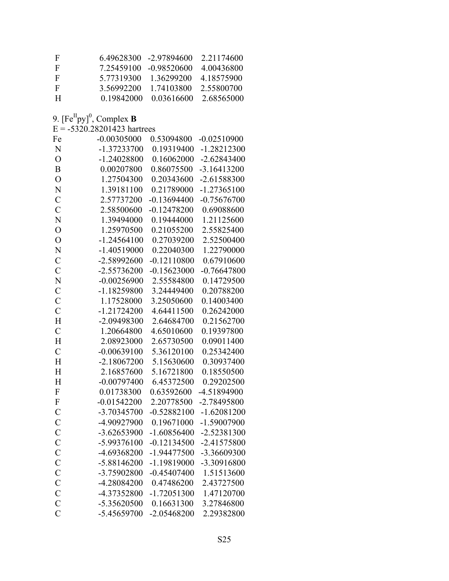| -F           |            | 6.49628300 -2.97894600 | 2 2 1 1 7 4 6 0 0 |
|--------------|------------|------------------------|-------------------|
| $\mathbf{F}$ |            | 7 25459100 -0 98520600 | 4 00436800        |
| $\mathbf{F}$ | 5 77319300 | 1 36299200             | 4 18575900        |
| $\mathbf{F}$ | 3.56992200 | 1 74103800             | 2.55800700        |
| H            | 0.19842000 | 0.03616600             | 2.68565000        |

9.  $[Fe^{II}py]^0$ , Complex **B**<br>E = -5320.28201423 hartrees

| Fe                        | $-0.00305000$ | 0.53094800    | $-0.02510900$ |
|---------------------------|---------------|---------------|---------------|
| N                         | $-1.37233700$ | 0.19319400    | $-1.28212300$ |
| $\overline{O}$            | $-1.24028800$ | 0.16062000    | $-2.62843400$ |
| $\overline{B}$            | 0.00207800    | 0.86075500    | $-3.16413200$ |
| $\overline{O}$            | 1.27504300    | 0.20343600    | -2.61588300   |
| N                         | 1.39181100    | 0.21789000    | $-1.27365100$ |
| $\mathcal{C}$             | 2.57737200    | $-0.13694400$ | $-0.75676700$ |
| $\mathcal{C}$             | 2.58500600    | $-0.12478200$ | 0.69088600    |
| N                         | 1.39494000    | 0.19444000    | 1.21125600    |
| $\overline{O}$            | 1.25970500    | 0.21055200    | 2.55825400    |
| $\overline{O}$            | $-1.24564100$ | 0.27039200    | 2.52500400    |
| N                         | $-1.40519000$ | 0.22040300    | 1.22790000    |
| $\mathcal{C}$             | -2.58992600   | $-0.12110800$ | 0.67910600    |
| $\mathcal{C}$             | $-2.55736200$ | $-0.15623000$ | $-0.76647800$ |
| N                         | $-0.00256900$ | 2.55584800    | 0.14729500    |
| $\mathcal{C}$             | $-1.18259800$ | 3.24449400    | 0.20788200    |
| $\mathcal{C}$             | 1.17528000    | 3.25050600    | 0.14003400    |
| $\mathcal{C}$             | $-1.21724200$ | 4.64411500    | 0.26242000    |
| H                         | -2.09498300   | 2.64684700    | 0.21562700    |
| $\mathcal{C}$             | 1.20664800    | 4.65010600    | 0.19397800    |
| H                         | 2.08923000    | 2.65730500    | 0.09011400    |
| $\mathcal{C}$             | $-0.00639100$ | 5.36120100    | 0.25342400    |
| H                         | $-2.18067200$ | 5.15630600    | 0.30937400    |
| H                         | 2.16857600    | 5.16721800    | 0.18550500    |
| H                         | $-0.00797400$ | 6.45372500    | 0.29202500    |
| $\boldsymbol{\mathrm{F}}$ | 0.01738300    | 0.63592600    | -4.51894900   |
| ${\bf F}$                 | $-0.01542200$ | 2.20778500    | -2.78495800   |
| $\mathcal{C}$             | -3.70345700   | $-0.52882100$ | $-1.62081200$ |
| $\mathcal{C}$             | -4.90927900   | 0.19671000    | -1.59007900   |
| $\mathcal{C}$             | $-3.62653900$ | $-1.60856400$ | $-2.52381300$ |
| $\mathcal{C}$             | -5.99376100   | $-0.12134500$ | $-2.41575800$ |
| $\overline{C}$            | -4.69368200   | $-1.94477500$ | -3.36609300   |
| $\mathcal{C}$             | $-5.88146200$ | -1.19819000   | -3.30916800   |
| $\mathcal{C}$             | -3.75902800   | $-0.45407400$ | 1.51513600    |
| $\mathcal{C}$             | -4.28084200   | 0.47486200    | 2.43727500    |
| $\mathcal{C}$             | -4.37352800   | $-1.72051300$ | 1.47120700    |
| $\mathbf C$               | -5.35620500   | 0.16631300    | 3.27846800    |
| $\overline{C}$            | -5.45659700   | -2.05468200   | 2.29382800    |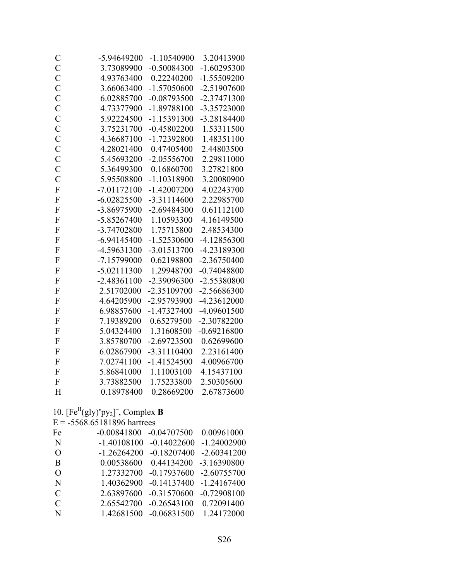| $\mathcal{C}$  | -5.94649200   | $-1.10540900$ | 3.20413900    |
|----------------|---------------|---------------|---------------|
| $\mathbf C$    | 3.73089900    | $-0.50084300$ | $-1.60295300$ |
| $\overline{C}$ | 4.93763400    | 0.22240200    | $-1.55509200$ |
| $\mathcal{C}$  | 3.66063400    | $-1.57050600$ | $-2.51907600$ |
| $\overline{C}$ | 6.02885700    | $-0.08793500$ | $-2.37471300$ |
| $\overline{C}$ | 4.73377900    | -1.89788100   | -3.35723000   |
| $\overline{C}$ | 5.92224500    | $-1.15391300$ | -3.28184400   |
| $\mathcal{C}$  | 3.75231700    | $-0.45802200$ | 1.53311500    |
| $\mathcal{C}$  | 4.36687100    | $-1.72392800$ | 1.48351100    |
| $\overline{C}$ | 4.28021400    | 0.47405400    | 2.44803500    |
| $\overline{C}$ | 5.45693200    | $-2.05556700$ | 2.29811000    |
| $\mathbf C$    | 5.36499300    | 0.16860700    | 3.27821800    |
| $\overline{C}$ | 5.95508800    | $-1.10318900$ | 3.20080900    |
| $\overline{F}$ | $-7.01172100$ | $-1.42007200$ | 4.02243700    |
| $\overline{F}$ | $-6.02825500$ | $-3.31114600$ | 2.22985700    |
| $\overline{F}$ | -3.86975900   | $-2.69484300$ | 0.61112100    |
| $\overline{F}$ | $-5.85267400$ | 1.10593300    | 4.16149500    |
| $\overline{F}$ | -3.74702800   | 1.75715800    | 2.48534300    |
| $\mathbf F$    | $-6.94145400$ | $-1.52530600$ | -4.12856300   |
| $\overline{F}$ | -4.59631300   | $-3.01513700$ | -4.23189300   |
| $\overline{F}$ | -7.15799000   | 0.62198800    | $-2.36750400$ |
| $\overline{F}$ | $-5.02111300$ | 1.29948700    | $-0.74048800$ |
| $\overline{F}$ | $-2.48361100$ | -2.39096300   | -2.55380800   |
| $\overline{F}$ | 2.51702000    | -2.35109700   | -2.56686300   |
| $\overline{F}$ | 4.64205900    | -2.95793900   | $-4.23612000$ |
| $\overline{F}$ | 6.98857600    | $-1.47327400$ | -4.09601500   |
| $\overline{F}$ | 7.19389200    | 0.65279500    | -2.30782200   |
| $\overline{F}$ | 5.04324400    | 1.31608500    | $-0.69216800$ |
| $\mathbf F$    | 3.85780700    | $-2.69723500$ | 0.62699600    |
| $\overline{F}$ | 6.02867900    | $-3.31110400$ | 2.23161400    |
| $\overline{F}$ | 7.02741100    | $-1.41524500$ | 4.00966700    |
| $\overline{F}$ | 5.86841000    | 1.11003100    | 4.15437100    |
| $\overline{F}$ | 3.73882500    | 1.75233800    | 2.50305600    |
| H              | 0.18978400    | 0.28669200    | 2.67873600    |

#### 10.  $[Fe^{II}(gly)'py_2]^{-}$ , Complex **B**

 $E = -5568.65181896$  hartrees

| Fe            | $-0.00841800$ | $-0.04707500$ | 0.00961000    |
|---------------|---------------|---------------|---------------|
| N             | $-1.40108100$ | $-0.14022600$ | $-1.24002900$ |
| $\Omega$      | $-1.26264200$ | $-0.18207400$ | $-2.60341200$ |
| B             | 0.00538600    | 0.44134200    | $-3.16390800$ |
| $\Omega$      | 1.27332700    | $-0.17937600$ | $-2.60755700$ |
| N             | 1.40362900    | $-0.14137400$ | $-1.24167400$ |
| $\mathcal{C}$ | 2.63897600    | $-0.31570600$ | $-0.72908100$ |
| $\mathcal{C}$ | 2.65542700    | $-0.26543100$ | 0.72091400    |
| N             | 1.42681500    | $-0.06831500$ | 1.24172000    |
|               |               |               |               |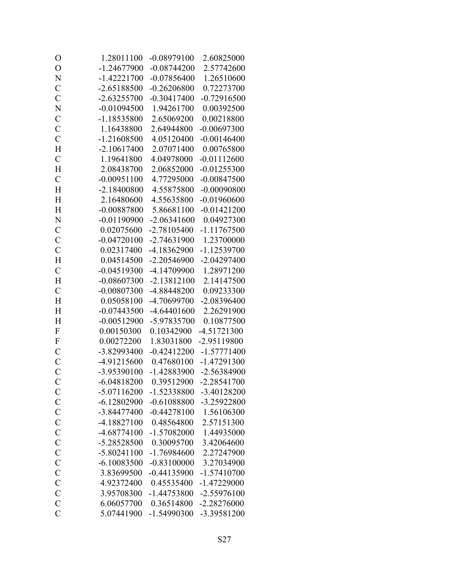| O              | 1.28011100    | $-0.08979100$ | 2.60825000    |
|----------------|---------------|---------------|---------------|
| $\overline{O}$ | $-1.24677900$ | $-0.08744200$ | 2.57742600    |
| N              | $-1.42221700$ | $-0.07856400$ | 1.26510600    |
| $\mathcal{C}$  | $-2.65188500$ | $-0.26206800$ | 0.72273700    |
| $\overline{C}$ | $-2.63255700$ | $-0.30417400$ | $-0.72916500$ |
| N              | $-0.01094500$ | 1.94261700    | 0.00392500    |
| $\mathcal{C}$  | -1.18535800   | 2.65069200    | 0.00218800    |
| $\mathcal{C}$  | 1.16438800    | 2.64944800    | $-0.00697300$ |
| $\mathcal{C}$  | $-1.21608500$ | 4.05120400    | $-0.00146400$ |
| H              | $-2.10617400$ | 2.07071400    | 0.00765800    |
| $\mathcal{C}$  | 1.19641800    | 4.04978000    | $-0.01112600$ |
| H              | 2.08438700    | 2.06852000    | $-0.01255300$ |
| $\overline{C}$ | $-0.00951100$ | 4.77295000    | $-0.00847500$ |
| H              | $-2.18400800$ | 4.55875800    | $-0.00090800$ |
| H              | 2.16480600    | 4.55635800    | $-0.01960600$ |
| H              | $-0.00887800$ | 5.86681100    | $-0.01421200$ |
| N              | $-0.01190900$ | $-2.06341600$ | 0.04927300    |
| $\mathcal{C}$  | 0.02075600    | -2.78105400   | $-1.11767500$ |
| $\mathbf C$    | $-0.04720100$ | -2.74631900   | 1.23700000    |
| $\mathcal{C}$  | 0.02317400    | -4.18362900   | -1.12539700   |
| H              | 0.04514500    | $-2.20546900$ | $-2.04297400$ |
| $\mathcal{C}$  | $-0.04519300$ | -4.14709900   | 1.28971200    |
| H              | $-0.08607300$ | $-2.13812100$ | 2.14147500    |
| $\overline{C}$ | $-0.00807300$ | -4.88448200   | 0.09233300    |
| H              | 0.05058100    | -4.70699700   | -2.08396400   |
| H              | $-0.07443500$ | $-4.64401600$ | 2.26291900    |
| H              | $-0.00512900$ | -5.97835700   | 0.10877500    |
| $\mathbf F$    | 0.00150300    | 0.10342900    | $-4.51721300$ |
| $\mathbf F$    | 0.00272200    | 1.83031800    | -2.95119800   |
| $\mathbf C$    | -3.82993400   | $-0.42412200$ | $-1.57771400$ |
| $\mathcal{C}$  | -4.91215600   | 0.47680100    | $-1.47291300$ |
| $\overline{C}$ | -3.95390100   | $-1.42883900$ | -2.56384900   |
| $\mathbf C$    | $-6.04818200$ | 0.39512900    | $-2.28541700$ |
| $\mathcal{C}$  | $-5.07116200$ | $-1.52338800$ | -3.40128200   |
| $\mathbf C$    | $-6.12802900$ | $-0.61088800$ | -3.25922800   |
| $\mathbf C$    | -3.84477400   | $-0.44278100$ | 1.56106300    |
| $\mathcal{C}$  | $-4.18827100$ | 0.48564800    | 2.57151300    |
| $\mathcal{C}$  | $-4.68774100$ | -1.57082000   | 1.44935000    |
| $\mathcal{C}$  | -5.28528500   | 0.30095700    | 3.42064600    |
| $\mathbf C$    | $-5.80241100$ | -1.76984600   | 2.27247900    |
| $\overline{C}$ | $-6.10083500$ | $-0.83100000$ | 3.27034900    |
| $\mathcal{C}$  | 3.83699500    | $-0.44135900$ | $-1.57410700$ |
| $\mathbf C$    | 4.92372400    | 0.45535400    | -1.47229000   |
| $\mathcal{C}$  | 3.95708300    | -1.44753800   | $-2.55976100$ |
| $\mathcal{C}$  | 6.06057700    | 0.36514800    | -2.28276000   |
| $\overline{C}$ | 5.07441900    | -1.54990300   | -3.39581200   |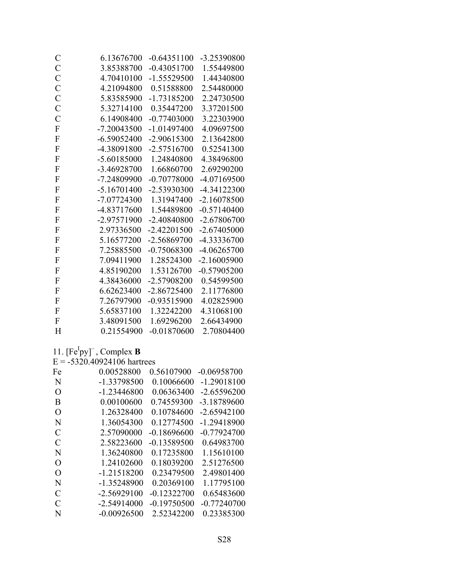| $\mathcal{C}$<br>3.85388700<br>$-0.43051700$<br>$\overline{C}$<br>4.70410100<br>$-1.55529500$<br>$\overline{C}$<br>4.21094800<br>0.51588800<br>$\overline{C}$<br>5.83585900<br>$-1.73185200$<br>$\mathcal{C}$<br>5.32714100<br>0.35447200<br>$\overline{C}$<br>6.14908400<br>$-0.77403000$<br>${\bf F}$<br>$-7.20043500$<br>$-1.01497400$<br>$\boldsymbol{\mathrm{F}}$<br>$-6.59052400$<br>$-2.90615300$<br>$\mathbf F$<br>-4.38091800<br>$-2.57516700$<br>$\mathbf{F}$<br>$-5.60185000$<br>1.24840800<br>$\mathbf{F}$<br>-3.46928700<br>1.66860700<br>F<br>-7.24809900<br>$-0.70778000$<br>$\overline{F}$<br>$-5.16701400$<br>-2.53930300<br>$\mathbf{F}$<br>$-7.07724300$<br>1.31947400<br>$\mathbf F$<br>-4.83717600<br>1.54489800<br>$\boldsymbol{\mathrm{F}}$<br>$-2.40840800$<br>-2.97571900<br>$\mathbf{F}$<br>$-2.42201500$<br>2.97336500<br>$\mathbf{F}$<br>5.16577200<br>-2.56869700<br>$\boldsymbol{\mathrm{F}}$<br>7.25885500<br>$-0.75068300$<br>$\mathbf{F}$<br>7.09411900<br>1.28524300<br>$\overline{F}$<br>4.85190200<br>1.53126700<br>$\boldsymbol{\mathrm{F}}$<br>4.38436000<br>-2.57908200<br>$\overline{F}$<br>6.62623400<br>$-2.86725400$<br>$\mathbf{F}$<br>$-0.93515900$<br>7.26797900<br>$\mathbf{F}$<br>5.65837100<br>1.32242200<br>$\overline{F}$<br>3.48091500<br>1.69296200<br>H<br>0.21554900 | $\mathsf C$ | 6.13676700 | $-0.64351100$ | -3.25390800   |
|-----------------------------------------------------------------------------------------------------------------------------------------------------------------------------------------------------------------------------------------------------------------------------------------------------------------------------------------------------------------------------------------------------------------------------------------------------------------------------------------------------------------------------------------------------------------------------------------------------------------------------------------------------------------------------------------------------------------------------------------------------------------------------------------------------------------------------------------------------------------------------------------------------------------------------------------------------------------------------------------------------------------------------------------------------------------------------------------------------------------------------------------------------------------------------------------------------------------------------------------------------------------------------------------------------------------------------|-------------|------------|---------------|---------------|
|                                                                                                                                                                                                                                                                                                                                                                                                                                                                                                                                                                                                                                                                                                                                                                                                                                                                                                                                                                                                                                                                                                                                                                                                                                                                                                                             |             |            |               | 1.55449800    |
|                                                                                                                                                                                                                                                                                                                                                                                                                                                                                                                                                                                                                                                                                                                                                                                                                                                                                                                                                                                                                                                                                                                                                                                                                                                                                                                             |             |            |               | 1.44340800    |
|                                                                                                                                                                                                                                                                                                                                                                                                                                                                                                                                                                                                                                                                                                                                                                                                                                                                                                                                                                                                                                                                                                                                                                                                                                                                                                                             |             |            |               | 2.54480000    |
|                                                                                                                                                                                                                                                                                                                                                                                                                                                                                                                                                                                                                                                                                                                                                                                                                                                                                                                                                                                                                                                                                                                                                                                                                                                                                                                             |             |            |               | 2.24730500    |
|                                                                                                                                                                                                                                                                                                                                                                                                                                                                                                                                                                                                                                                                                                                                                                                                                                                                                                                                                                                                                                                                                                                                                                                                                                                                                                                             |             |            |               | 3.37201500    |
|                                                                                                                                                                                                                                                                                                                                                                                                                                                                                                                                                                                                                                                                                                                                                                                                                                                                                                                                                                                                                                                                                                                                                                                                                                                                                                                             |             |            |               | 3.22303900    |
|                                                                                                                                                                                                                                                                                                                                                                                                                                                                                                                                                                                                                                                                                                                                                                                                                                                                                                                                                                                                                                                                                                                                                                                                                                                                                                                             |             |            |               | 4.09697500    |
|                                                                                                                                                                                                                                                                                                                                                                                                                                                                                                                                                                                                                                                                                                                                                                                                                                                                                                                                                                                                                                                                                                                                                                                                                                                                                                                             |             |            |               | 2.13642800    |
|                                                                                                                                                                                                                                                                                                                                                                                                                                                                                                                                                                                                                                                                                                                                                                                                                                                                                                                                                                                                                                                                                                                                                                                                                                                                                                                             |             |            |               | 0.52541300    |
|                                                                                                                                                                                                                                                                                                                                                                                                                                                                                                                                                                                                                                                                                                                                                                                                                                                                                                                                                                                                                                                                                                                                                                                                                                                                                                                             |             |            |               | 4.38496800    |
|                                                                                                                                                                                                                                                                                                                                                                                                                                                                                                                                                                                                                                                                                                                                                                                                                                                                                                                                                                                                                                                                                                                                                                                                                                                                                                                             |             |            |               | 2.69290200    |
|                                                                                                                                                                                                                                                                                                                                                                                                                                                                                                                                                                                                                                                                                                                                                                                                                                                                                                                                                                                                                                                                                                                                                                                                                                                                                                                             |             |            |               | -4.07169500   |
|                                                                                                                                                                                                                                                                                                                                                                                                                                                                                                                                                                                                                                                                                                                                                                                                                                                                                                                                                                                                                                                                                                                                                                                                                                                                                                                             |             |            |               | -4.34122300   |
|                                                                                                                                                                                                                                                                                                                                                                                                                                                                                                                                                                                                                                                                                                                                                                                                                                                                                                                                                                                                                                                                                                                                                                                                                                                                                                                             |             |            |               | $-2.16078500$ |
|                                                                                                                                                                                                                                                                                                                                                                                                                                                                                                                                                                                                                                                                                                                                                                                                                                                                                                                                                                                                                                                                                                                                                                                                                                                                                                                             |             |            |               | $-0.57140400$ |
|                                                                                                                                                                                                                                                                                                                                                                                                                                                                                                                                                                                                                                                                                                                                                                                                                                                                                                                                                                                                                                                                                                                                                                                                                                                                                                                             |             |            |               | $-2.67806700$ |
|                                                                                                                                                                                                                                                                                                                                                                                                                                                                                                                                                                                                                                                                                                                                                                                                                                                                                                                                                                                                                                                                                                                                                                                                                                                                                                                             |             |            |               | $-2.67405000$ |
|                                                                                                                                                                                                                                                                                                                                                                                                                                                                                                                                                                                                                                                                                                                                                                                                                                                                                                                                                                                                                                                                                                                                                                                                                                                                                                                             |             |            |               | -4.33336700   |
|                                                                                                                                                                                                                                                                                                                                                                                                                                                                                                                                                                                                                                                                                                                                                                                                                                                                                                                                                                                                                                                                                                                                                                                                                                                                                                                             |             |            |               | $-4.06265700$ |
|                                                                                                                                                                                                                                                                                                                                                                                                                                                                                                                                                                                                                                                                                                                                                                                                                                                                                                                                                                                                                                                                                                                                                                                                                                                                                                                             |             |            |               | $-2.16005900$ |
|                                                                                                                                                                                                                                                                                                                                                                                                                                                                                                                                                                                                                                                                                                                                                                                                                                                                                                                                                                                                                                                                                                                                                                                                                                                                                                                             |             |            |               | $-0.57905200$ |
|                                                                                                                                                                                                                                                                                                                                                                                                                                                                                                                                                                                                                                                                                                                                                                                                                                                                                                                                                                                                                                                                                                                                                                                                                                                                                                                             |             |            |               | 0.54599500    |
|                                                                                                                                                                                                                                                                                                                                                                                                                                                                                                                                                                                                                                                                                                                                                                                                                                                                                                                                                                                                                                                                                                                                                                                                                                                                                                                             |             |            |               | 2.11776800    |
|                                                                                                                                                                                                                                                                                                                                                                                                                                                                                                                                                                                                                                                                                                                                                                                                                                                                                                                                                                                                                                                                                                                                                                                                                                                                                                                             |             |            |               | 4.02825900    |
|                                                                                                                                                                                                                                                                                                                                                                                                                                                                                                                                                                                                                                                                                                                                                                                                                                                                                                                                                                                                                                                                                                                                                                                                                                                                                                                             |             |            |               | 4.31068100    |
|                                                                                                                                                                                                                                                                                                                                                                                                                                                                                                                                                                                                                                                                                                                                                                                                                                                                                                                                                                                                                                                                                                                                                                                                                                                                                                                             |             |            |               | 2.66434900    |
|                                                                                                                                                                                                                                                                                                                                                                                                                                                                                                                                                                                                                                                                                                                                                                                                                                                                                                                                                                                                                                                                                                                                                                                                                                                                                                                             |             |            | $-0.01870600$ | 2.70804400    |

11.  $[Fe<sup>I</sup>py]$ <sup>-</sup>, Complex **B** 

 $E = -5320.40924106$  hartrees

| Fe            | 0.00528800    | 0.56107900    | $-0.06958700$ |
|---------------|---------------|---------------|---------------|
| N             | -1.33798500   | 0.10066600    | $-1.29018100$ |
| O             | $-1.23446800$ | 0.06363400    | $-2.65596200$ |
| B             | 0.00100600    | 0.74559300    | $-3.18789600$ |
| O             | 1.26328400    | 0.10784600    | $-2.65942100$ |
| N             | 1.36054300    | 0.12774500    | $-1.29418900$ |
| C             | 2.57090000    | $-0.18696600$ | $-0.77924700$ |
| $\mathcal{C}$ | 2.58223600    | $-0.13589500$ | 0.64983700    |
| N             | 1.36240800    | 0.17235800    | 1.15610100    |
| $\Omega$      | 1.24102600    | 0.18039200    | 2.51276500    |
| $\Omega$      | $-1.21518200$ | 0.23479500    | 2.49801400    |
| N             | $-1.35248900$ | 0.20369100    | 1.17795100    |
| $\mathcal{C}$ | $-2.56929100$ | $-0.12322700$ | 0.65483600    |
| C             | $-2.54914000$ | $-0.19750500$ | $-0.77240700$ |
| N             | $-0.00926500$ | 2.52342200    | 0.23385300    |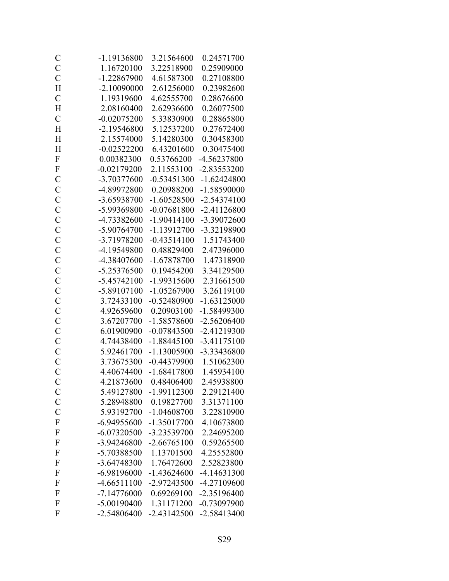| $\mathcal{C}$  | -1.19136800   | 3.21564600    | 0.24571700    |
|----------------|---------------|---------------|---------------|
| $\mathcal{C}$  | 1.16720100    | 3.22518900    | 0.25909000    |
| $\overline{C}$ | $-1.22867900$ | 4.61587300    | 0.27108800    |
| H              | $-2.10090000$ | 2.61256000    | 0.23982600    |
| $\mathcal{C}$  | 1.19319600    | 4.62555700    | 0.28676600    |
| H              | 2.08160400    | 2.62936600    | 0.26077500    |
| $\mathcal{C}$  | $-0.02075200$ | 5.33830900    | 0.28865800    |
| H              | $-2.19546800$ | 5.12537200    | 0.27672400    |
| H              | 2.15574000    | 5.14280300    | 0.30458300    |
| H              | $-0.02522200$ | 6.43201600    | 0.30475400    |
| $\mathbf{F}$   | 0.00382300    | 0.53766200    | -4.56237800   |
| $\mathbf F$    | $-0.02179200$ | 2.11553100    | -2.83553200   |
| $\mathbf C$    | -3.70377600   | $-0.53451300$ | $-1.62424800$ |
| $\mathcal{C}$  | -4.89972800   | 0.20988200    | -1.58590000   |
| $\mathbf C$    | -3.65938700   | $-1.60528500$ | $-2.54374100$ |
| $\mathcal{C}$  | -5.99369800   | $-0.07681800$ | $-2.41126800$ |
| $\mathcal{C}$  | -4.73382600   | $-1.90414100$ | -3.39072600   |
| $\mathcal{C}$  | -5.90764700   | -1.13912700   | -3.32198900   |
| $\mathbf C$    | -3.71978200   | $-0.43514100$ | 1.51743400    |
| $\mathcal{C}$  | -4.19549800   | 0.48829400    | 2.47396000    |
| $\mathcal{C}$  | -4.38407600   | $-1.67878700$ | 1.47318900    |
| $\mathbf C$    | -5.25376500   | 0.19454200    | 3.34129500    |
| $\mathbf C$    | $-5.45742100$ | -1.99315600   | 2.31661500    |
| $\mathcal{C}$  | -5.89107100   | $-1.05267900$ | 3.26119100    |
| $\mathcal{C}$  | 3.72433100    | $-0.52480900$ | $-1.63125000$ |
| $\mathcal{C}$  | 4.92659600    | 0.20903100    | -1.58499300   |
| $\mathcal{C}$  | 3.67207700    | -1.58578600   | $-2.56206400$ |
| $\mathcal{C}$  | 6.01900900    | $-0.07843500$ | $-2.41219300$ |
| $\mathbf C$    | 4.74438400    | $-1.88445100$ | $-3.41175100$ |
| $\mathbf C$    | 5.92461700    | $-1.13005900$ | -3.33436800   |
| $\overline{C}$ | 3.73675300    | $-0.44379900$ | 1.51062300    |
| $\overline{C}$ | 4.40674400    | $-1.68417800$ | 1.45934100    |
| $\mathbf C$    | 4.21873600    | 0.48406400    | 2.45938800    |
| $\mathcal{C}$  | 5.49127800    | $-1.99112300$ | 2.29121400    |
| $\mathcal{C}$  | 5.28948800    | 0.19827700    | 3.31371100    |
| $\mathcal{C}$  | 5.93192700    | $-1.04608700$ | 3.22810900    |
| ${\bf F}$      | $-6.94955600$ | -1.35017700   | 4.10673800    |
| $\mathbf F$    | $-6.07320500$ | -3.23539700   | 2.24695200    |
| $\mathbf{F}$   | -3.94246800   | $-2.66765100$ | 0.59265500    |
| $\mathbf{F}$   | -5.70388500   | 1.13701500    | 4.25552800    |
| F              | -3.64748300   | 1.76472600    | 2.52823800    |
| $\mathbf{F}$   | $-6.98196000$ | $-1.43624600$ | -4.14631300   |
| $\mathbf{F}$   | $-4.66511100$ | $-2.97243500$ | -4.27109600   |
| F              | $-7.14776000$ | 0.69269100    | $-2.35196400$ |
| $\mathbf{F}$   | $-5.00190400$ | 1.31171200    | $-0.73097900$ |
| F              | $-2.54806400$ | $-2.43142500$ | -2.58413400   |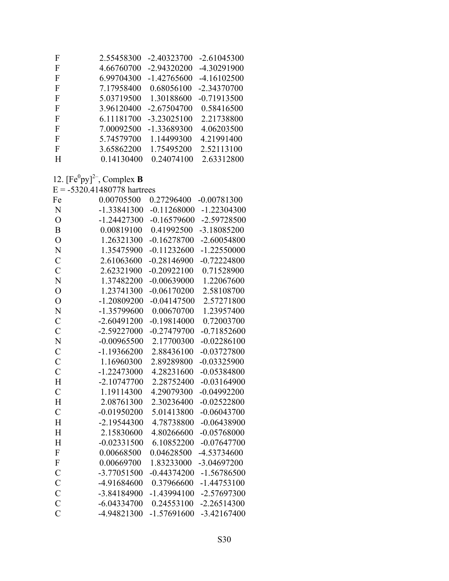| F | 2.55458300 | $-2.40323700$ | $-2.61045300$ |
|---|------------|---------------|---------------|
| F | 4.66760700 | -2.94320200   | -4.30291900   |
| F | 6.99704300 | $-1.42765600$ | $-4.16102500$ |
| F | 7.17958400 | 0.68056100    | -2.34370700   |
| F | 5.03719500 | 1.30188600    | $-0.71913500$ |
| F | 3.96120400 | $-2.67504700$ | 0.58416500    |
| F | 6.11181700 | $-3.23025100$ | 2.21738800    |
| F | 7.00092500 | -1.33689300   | 4.06203500    |
| F | 5.74579700 | 1.14499300    | 4.21991400    |
| F | 3.65862200 | 1.75495200    | 2.52113100    |
| H | 0.14130400 | 0.24074100    | 2.63312800    |

12.  $[Fe^{0}py]^{2-}$ , Complex **B**<br>E = -5320.41480778 hartrees

| Fe             | 0.00705500    | 0.27296400    | $-0.00781300$ |
|----------------|---------------|---------------|---------------|
| N              | -1.33841300   | $-0.11268000$ | $-1.22304300$ |
| $\overline{O}$ | $-1.24427300$ | $-0.16579600$ | -2.59728500   |
| B              | 0.00819100    | 0.41992500    | -3.18085200   |
| $\overline{O}$ | 1.26321300    | $-0.16278700$ | $-2.60054800$ |
| N              | 1.35475900    | $-0.11232600$ | $-1.22550000$ |
| $\mathcal{C}$  | 2.61063600    | $-0.28146900$ | $-0.72224800$ |
| $\overline{C}$ | 2.62321900    | $-0.20922100$ | 0.71528900    |
| N              | 1.37482200    | $-0.00639000$ | 1.22067600    |
| $\overline{O}$ | 1.23741300    | $-0.06170200$ | 2.58108700    |
| $\overline{O}$ | $-1.20809200$ | $-0.04147500$ | 2.57271800    |
| N              | -1.35799600   | 0.00670700    | 1.23957400    |
| $\mathcal{C}$  | $-2.60491200$ | $-0.19814000$ | 0.72003700    |
| $\overline{C}$ | -2.59227000   | $-0.27479700$ | $-0.71852600$ |
| $\overline{N}$ | $-0.00965500$ | 2.17700300    | $-0.02286100$ |
| $\mathcal{C}$  | $-1.19366200$ | 2.88436100    | $-0.03727800$ |
| $\overline{C}$ | 1.16960300    | 2.89289800    | $-0.03325900$ |
| $\overline{C}$ | $-1.22473000$ | 4.28231600    | $-0.05384800$ |
| H              | $-2.10747700$ | 2.28752400    | $-0.03164900$ |
| $\overline{C}$ | 1.19114300    | 4.29079300    | $-0.04992200$ |
| H              | 2.08761300    | 2.30236400    | $-0.02522800$ |
| $\mathcal{C}$  | $-0.01950200$ | 5.01413800    | $-0.06043700$ |
| H              | $-2.19544300$ | 4.78738800    | $-0.06438900$ |
| H              | 2.15830600    | 4.80266600    | $-0.05768000$ |
| H              | $-0.02331500$ | 6.10852200    | $-0.07647700$ |
| ${\bf F}$      | 0.00668500    | 0.04628500    | -4.53734600   |
| ${\bf F}$      | 0.00669700    | 1.83233000    | -3.04697200   |
| $\mathbf C$    | $-3.77051500$ | $-0.44374200$ | $-1.56786500$ |
| $\mathcal{C}$  | -4.91684600   | 0.37966600    | $-1.44753100$ |
| $\mathcal{C}$  | -3.84184900   | $-1.43994100$ | -2.57697300   |
| $\mathcal{C}$  | $-6.04334700$ | 0.24553100    | $-2.26514300$ |
| $\overline{C}$ | -4.94821300   | $-1.57691600$ | $-3.42167400$ |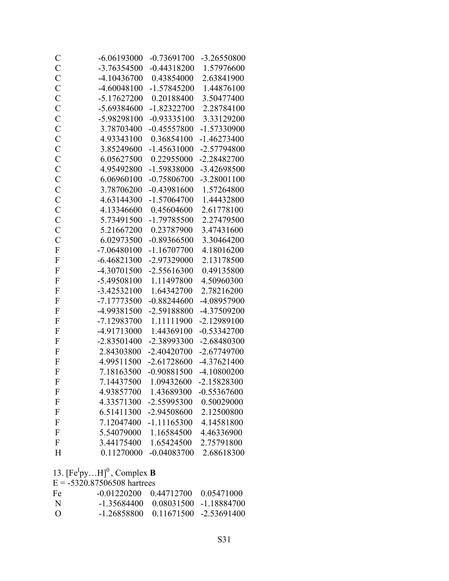| $\mathcal{C}$  | $-6.06193000$ | $-0.73691700$ | -3.26550800   |
|----------------|---------------|---------------|---------------|
| $\mathbf C$    | -3.76354500   | $-0.44318200$ | 1.57976600    |
| $\mathbf C$    | -4.10436700   | 0.43854000    | 2.63841900    |
| $\mathcal{C}$  | $-4.60048100$ | $-1.57845200$ | 1.44876100    |
| $\mathbf C$    | $-5.17627200$ | 0.20188400    | 3.50477400    |
| $\mathcal{C}$  | -5.69384600   | $-1.82322700$ | 2.28784100    |
| $\overline{C}$ | -5.98298100   | $-0.93335100$ | 3.33129200    |
| $\mathbf C$    | 3.78703400    | $-0.45557800$ | -1.57330900   |
| $\mathbf C$    | 4.93343100    | 0.36854100    | $-1.46273400$ |
| $\mathcal{C}$  | 3.85249600    | $-1.45631000$ | $-2.57794800$ |
| $\mathcal{C}$  | 6.05627500    | 0.22955000    | -2.28482700   |
| $\mathcal{C}$  | 4.95492800    | -1.59838000   | -3.42698500   |
| $\mathcal{C}$  | 6.06960100    | $-0.75806700$ | $-3.28001100$ |
| $\overline{C}$ | 3.78706200    | $-0.43981600$ | 1.57264800    |
| $\mathbf C$    | 4.63144300    | $-1.57064700$ | 1.44432800    |
| $\mathbf C$    | 4.13346600    | 0.45604600    | 2.61778100    |
| $\mathcal{C}$  | 5.73491500    | $-1.79785500$ | 2.27479500    |
| $\mathcal{C}$  | 5.21667200    | 0.23787900    | 3.47431600    |
| $\mathcal{C}$  | 6.02973500    | $-0.89366500$ | 3.30464200    |
| ${\bf F}$      | $-7.06480100$ | $-1.16707700$ | 4.18016200    |
| $\mathbf{F}$   | $-6.46821300$ | -2.97329000   | 2.13178500    |
| $\overline{F}$ | -4.30701500   | $-2.55616300$ | 0.49135800    |
| $\mathbf{F}$   | -5.49508100   | 1.11497800    | 4.50960300    |
| $\mathbf{F}$   | $-3.42532100$ | 1.64342700    | 2.78216200    |
| $\mathbf{F}$   | -7.17773500   | $-0.88244600$ | -4.08957900   |
| $\mathbf{F}$   | -4.99381500   | -2.59188800   | -4.37509200   |
| $\mathbf{F}$   | -7.12983700   | 1.11111900    | $-2.12989100$ |
| $\mathbf F$    | -4.91713000   | 1.44369100    | $-0.53342700$ |
| $\mathbf{F}$   | $-2.83501400$ | -2.38993300   | -2.68480300   |
| $\mathbf{F}$   | 2.84303800    | $-2.40420700$ | $-2.67749700$ |
| $\mathbf{F}$   | 4.99511500    | $-2.61728600$ | $-4.37621400$ |
| $\overline{F}$ | 7.18163500    | $-0.90881500$ | $-4.10800200$ |
| $\Gamma$       | 7.14437500    | 1.09432600    | -2.15828300   |
| F              | 4.93857700    | 1.43689300    | $-0.55367600$ |
| ${\bf F}$      | 4.33571300    | -2.55995300   | 0.50029000    |
| F              | 6.51411300    | -2.94508600   | 2.12500800    |
| F              | 7.12047400    | $-1.11165300$ | 4.14581800    |
| F              | 5.54079000    | 1.16584500    | 4.46336900    |
| F              | 3.44175400    | 1.65424500    | 2.75791800    |
| H              | 0.11270000    | $-0.04083700$ | 2.68618300    |

13.  $[Fe^Ipy...H]^0$ , Complex **B** 

 $E = -5320.87506508$  hartrees

| Fe               | $-0.01220200$ $0.44712700$ $0.05471000$ |                                                     |  |
|------------------|-----------------------------------------|-----------------------------------------------------|--|
| -N               |                                         | $-1, 35684400, 0, 08031500, -1, 18884700$           |  |
| $\left( \right)$ |                                         | $-1, 26858800 \quad 0, 11671500 \quad -2, 53691400$ |  |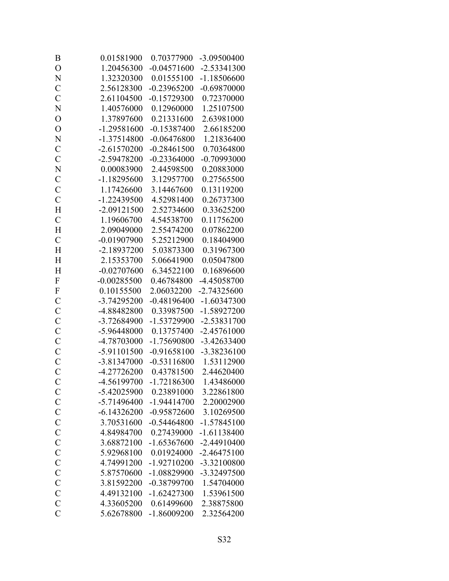| B              | 0.01581900    | 0.70377900    | -3.09500400   |
|----------------|---------------|---------------|---------------|
| $\overline{O}$ | 1.20456300    | $-0.04571600$ | $-2.53341300$ |
| N              | 1.32320300    | 0.01555100    | $-1.18506600$ |
| $\overline{C}$ | 2.56128300    | $-0.23965200$ | $-0.69870000$ |
| $\overline{C}$ | 2.61104500    | $-0.15729300$ | 0.72370000    |
| N              | 1.40576000    | 0.12960000    | 1.25107500    |
| $\overline{O}$ | 1.37897600    | 0.21331600    | 2.63981000    |
| $\overline{O}$ | $-1.29581600$ | $-0.15387400$ | 2.66185200    |
| N              | $-1.37514800$ | $-0.06476800$ | 1.21836400    |
| $\mathcal{C}$  | $-2.61570200$ | $-0.28461500$ | 0.70364800    |
| $\overline{C}$ | -2.59478200   | $-0.23364000$ | $-0.70993000$ |
| N              | 0.00083900    | 2.44598500    | 0.20883000    |
| $\mathcal{C}$  | $-1.18295600$ | 3.12957700    | 0.27565500    |
| $\mathcal{C}$  | 1.17426600    | 3.14467600    | 0.13119200    |
| $\mathcal{C}$  | -1.22439500   | 4.52981400    | 0.26737300    |
| H              | $-2.09121500$ | 2.52734600    | 0.33625200    |
| $\mathcal{C}$  | 1.19606700    | 4.54538700    | 0.11756200    |
| H              | 2.09049000    | 2.55474200    | 0.07862200    |
| $\mathcal{C}$  | $-0.01907900$ | 5.25212900    | 0.18404900    |
| H              | $-2.18937200$ | 5.03873300    | 0.31967300    |
| H              | 2.15353700    | 5.06641900    | 0.05047800    |
| H              | $-0.02707600$ | 6.34522100    | 0.16896600    |
| $\overline{F}$ | $-0.00285500$ | 0.46784800    | -4.45058700   |
| $\mathbf F$    | 0.10155500    | 2.06032200    | $-2.74325600$ |
| $\mathcal{C}$  | -3.74295200   | $-0.48196400$ | $-1.60347300$ |
| $\mathbf C$    | -4.88482800   | 0.33987500    | -1.58927200   |
| $\mathcal{C}$  | -3.72684900   | -1.53729900   | -2.53831700   |
| $\mathcal{C}$  | -5.96448000   | 0.13757400    | $-2.45761000$ |
| $\mathbf C$    | -4.78703000   | -1.75690800   | $-3.42633400$ |
| $\mathcal{C}$  | -5.91101500   | $-0.91658100$ | -3.38236100   |
| $\overline{C}$ | -3.81347000   | $-0.53116800$ | 1.53112900    |
| $\overline{C}$ | -4.27726200   | 0.43781500    | 2.44620400    |
| $\mathcal{C}$  | -4.56199700   | $-1.72186300$ | 1.43486000    |
| $\mathcal{C}$  | $-5.42025900$ | 0.23891000    | 3.22861800    |
| $\mathcal{C}$  | -5.71496400   | $-1.94414700$ | 2.20002900    |
| $\mathbf C$    | $-6.14326200$ | $-0.95872600$ | 3.10269500    |
| $\mathcal{C}$  | 3.70531600    | $-0.54464800$ | $-1.57845100$ |
| $\mathcal{C}$  | 4.84984700    | 0.27439000    | $-1.61138400$ |
| $\mathcal{C}$  | 3.68872100    | $-1.65367600$ | $-2.44910400$ |
| $\mathbf C$    | 5.92968100    | 0.01924000    | $-2.46475100$ |
| $\overline{C}$ | 4.74991200    | $-1.92710200$ | -3.32100800   |
| $\mathbf C$    | 5.87570600    | -1.08829900   | -3.32497500   |
| $\mathbf C$    | 3.81592200    | $-0.38799700$ | 1.54704000    |
| $\mathcal{C}$  | 4.49132100    | $-1.62427300$ | 1.53961500    |
| $\mathcal{C}$  | 4.33605200    | 0.61499600    | 2.38875800    |
| $\overline{C}$ | 5.62678800    | $-1.86009200$ | 2.32564200    |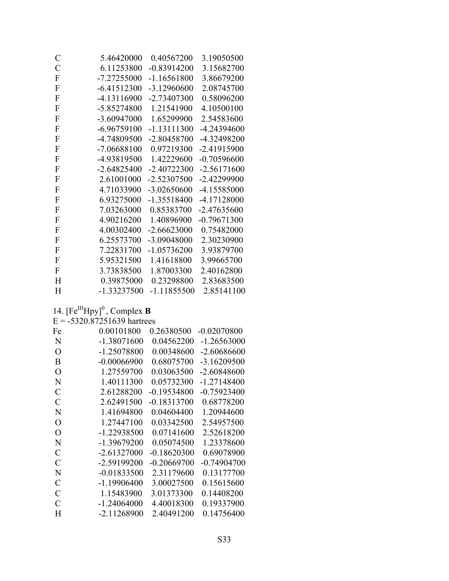| $\mathcal C$              | 5.46420000    | 0.40567200    | 3.19050500    |
|---------------------------|---------------|---------------|---------------|
| $\mathcal{C}$             | 6.11253800    | $-0.83914200$ | 3.15682700    |
| ${\bf F}$                 | -7.27255000   | $-1.16561800$ | 3.86679200    |
| F                         | $-6.41512300$ | $-3.12960600$ | 2.08745700    |
| ${\bf F}$                 | -4.13116900   | $-2.73407300$ | 0.58096200    |
| ${\bf F}$                 | -5.85274800   | 1.21541900    | 4.10500100    |
| ${\bf F}$                 | $-3.60947000$ | 1.65299900    | 2.54583600    |
| $\boldsymbol{\mathrm{F}}$ | $-6.96759100$ | $-1.13111300$ | -4.24394600   |
| ${\bf F}$                 | -4.74809500   | $-2.80458700$ | -4.32498200   |
| ${\bf F}$                 | $-7.06688100$ | 0.97219300    | $-2.41915900$ |
| ${\bf F}$                 | -4.93819500   | 1.42229600    | $-0.70596600$ |
| ${\bf F}$                 | $-2.64825400$ | $-2.40722300$ | $-2.56171600$ |
| ${\bf F}$                 | 2.61001000    | -2.52307500   | $-2.42299900$ |
| ${\bf F}$                 | 4.71033900    | $-3.02650600$ | -4.15585000   |
| ${\bf F}$                 | 6.93275000    | $-1.35518400$ | -4.17128000   |
| ${\bf F}$                 | 7.03263000    | 0.85383700    | $-2.47635600$ |
| ${\bf F}$                 | 4.90216200    | 1.40896900    | $-0.79671300$ |
| F                         | 4.00302400    | $-2.66623000$ | 0.75482000    |
| ${\bf F}$                 | 6.25573700    | -3.09048000   | 2.30230900    |
| $\boldsymbol{F}$          | 7.22831700    | $-1.05736200$ | 3.93879700    |
| ${\bf F}$                 | 5.95321500    | 1.41618800    | 3.99665700    |
| ${\bf F}$                 | 3.73838500    | 1.87003300    | 2.40162800    |
| H                         | 0.39875000    | 0.23298800    | 2.83683500    |
| H                         | $-1.33237500$ | $-1.11855500$ | 2.85141100    |

# 14.  $[Fe^{III}Hpy]$ <sup>0</sup>, Complex **B**<br>E = -5320.87251639 hartrees

| Fe            | 0.00101800    | 0.26380500    | $-0.02070800$ |
|---------------|---------------|---------------|---------------|
| N             | $-1.38071600$ | 0.04562200    | -1.26563000   |
| О             | -1.25078800   | 0.00348600    | -2.60686600   |
| B             | $-0.00066900$ | 0.68075700    | -3.16209500   |
| O             | 1.27559700    | 0.03063500    | $-2.60848600$ |
| N             | 1.40111300    | 0.05732300    | $-1.27148400$ |
| $\mathcal{C}$ | 2.61288200    | $-0.19534800$ | $-0.75923400$ |
| $\mathcal{C}$ | 2.62491500    | $-0.18313700$ | 0.68778200    |
| N             | 1.41694800    | 0.04604400    | 1.20944600    |
| O             | 1.27447100    | 0.03342500    | 2.54957500    |
| O             | -1.22938500   | 0.07141600    | 2.52618200    |
| N             | -1.39679200   | 0.05074500    | 1.23378600    |
| $\mathcal{C}$ | $-2.61327000$ | $-0.18620300$ | 0.69078900    |
| $\mathcal{C}$ | -2.59199200   | $-0.20669700$ | $-0.74904700$ |
| N             | $-0.01833500$ | 2.31179600    | 0.13177700    |
| C             | $-1.19906400$ | 3.00027500    | 0.15615600    |
| $\mathcal{C}$ | 1.15483900    | 3.01373300    | 0.14408200    |
| C             | $-1.24064000$ | 4.40018300    | 0.19337900    |
| H             | $-2.11268900$ | 2.40491200    | 0.14756400    |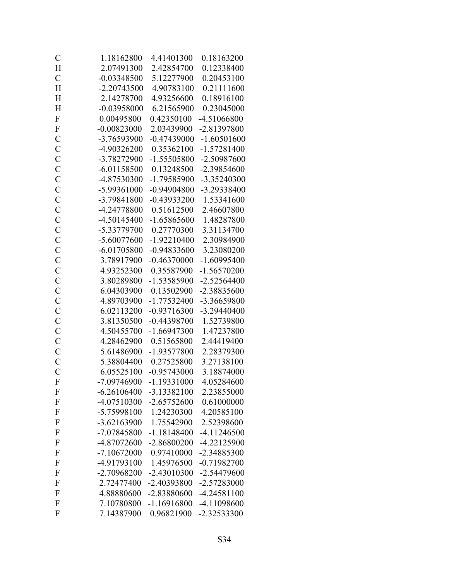| $\mathcal{C}$             | 1.18162800    | 4.41401300    | 0.18163200    |
|---------------------------|---------------|---------------|---------------|
| H                         | 2.07491300    | 2.42854700    | 0.12338400    |
| $\mathcal{C}$             | $-0.03348500$ | 5.12277900    | 0.20453100    |
| H                         | $-2.20743500$ | 4.90783100    | 0.21111600    |
| H                         | 2.14278700    | 4.93256600    | 0.18916100    |
| H                         | $-0.03958000$ | 6.21565900    | 0.23045000    |
| $\mathbf{F}$              | 0.00495800    | 0.42350100    | -4.51066800   |
| $\boldsymbol{\mathrm{F}}$ | $-0.00823000$ | 2.03439900    | -2.81397800   |
| $\mathbf C$               | -3.76593900   | $-0.47439000$ | $-1.60501600$ |
| $\mathbf C$               | -4.90326200   | 0.35362100    | $-1.57281400$ |
| $\mathcal{C}$             | -3.78272900   | $-1.55505800$ | -2.50987600   |
| $\mathcal{C}$             | $-6.01158500$ | 0.13248500    | -2.39854600   |
| $\mathbf C$               | -4.87530300   | $-1.79585900$ | -3.35240300   |
| $\overline{C}$            | -5.99361000   | $-0.94904800$ | -3.29338400   |
| $\mathcal{C}$             | -3.79841800   | $-0.43933200$ | 1.53341600    |
| $\mathbf C$               | -4.24778800   | 0.51612500    | 2.46607800    |
| $\mathcal{C}$             | $-4.50145400$ | $-1.65865600$ | 1.48287800    |
| $\mathcal{C}$             | -5.33779700   | 0.27770300    | 3.31134700    |
| $\mathcal{C}$             | $-5.60077600$ | $-1.92210400$ | 2.30984900    |
| $\mathbf C$               | $-6.01705800$ | $-0.94833600$ | 3.23080200    |
| $\mathcal{C}$             | 3.78917900    | $-0.46370000$ | $-1.60995400$ |
| $\mathcal{C}$             | 4.93252300    | 0.35587900    | $-1.56570200$ |
| $\mathbf C$               | 3.80289800    | $-1.53585900$ | $-2.52564400$ |
| $\overline{C}$            | 6.04303900    | 0.13502900    | -2.38835600   |
| $\mathcal{C}$             | 4.89703900    | $-1.77532400$ | -3.36659800   |
| $\mathcal{C}$             | 6.02113200    | $-0.93716300$ | -3.29440400   |
| $\mathcal{C}$             | 3.81350500    | $-0.44398700$ | 1.52739800    |
| $\overline{C}$            | 4.50455700    | $-1.66947300$ | 1.47237800    |
| $\mathcal{C}$             | 4.28462900    | 0.51565800    | 2.44419400    |
| $\mathbf C$               | 5.61486900    | $-1.93577800$ | 2.28379300    |
| $\overline{C}$            | 5.38804400    | 0.27525800    | 3.27138100    |
| $\overline{C}$            | 6.05525100    | $-0.95743000$ | 3.18874000    |
| $\boldsymbol{F}$          | -7.09746900   | $-1.19331000$ | 4.05284600    |
| F                         | $-6.26106400$ | $-3.13382100$ | 2.23855000    |
| $\mathbf{F}$              | -4.07510300   | $-2.65752600$ | 0.61000000    |
| $\mathbf{F}$              | -5.75998100   | 1.24230300    | 4.20585100    |
| $\mathbf{F}$              | $-3.62163900$ | 1.75542900    | 2.52398600    |
| F                         | -7.07845800   | $-1.18148400$ | $-4.11246500$ |
| F                         | -4.87072600   | $-2.86800200$ | $-4.22125900$ |
| $\mathbf{F}$              | $-7.10672000$ | 0.97410000    | -2.34885300   |
| $\mathbf{F}$              | -4.91793100   | 1.45976500    | $-0.71982700$ |
| $\mathbf{F}$              | -2.70968200   | $-2.43010300$ | -2.54479600   |
| F                         | 2.72477400    | -2.40393800   | -2.57283000   |
| $\mathbf{F}$              | 4.88880600    | -2.83880600   | $-4.24581100$ |
| $\mathbf{F}$              | 7.10780800    | $-1.16916800$ | -4.11098600   |
| F                         | 7.14387900    | 0.96821900    | -2.32533300   |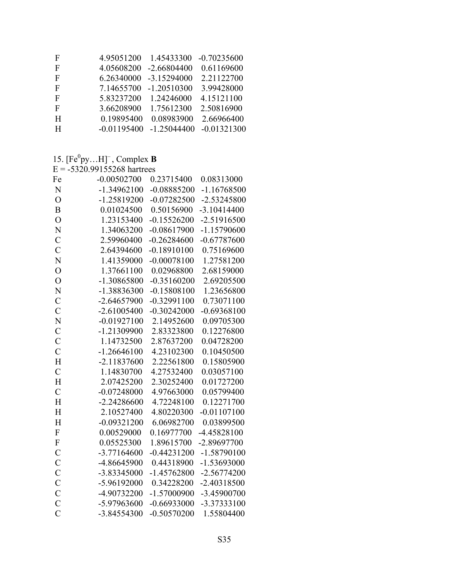| F | 4.95051200    | 1.45433300    | $-0.70235600$ |
|---|---------------|---------------|---------------|
| F | 4.05608200    | $-2.66804400$ | 0.61169600    |
| F | 6.26340000    | $-3.15294000$ | 2.21122700    |
| F | 7.14655700    | $-1.20510300$ | 3.99428000    |
| F | 5.83237200    | 1.24246000    | 4.15121100    |
| F | 3.66208900    | 1.75612300    | 2.50816900    |
| H | 0.19895400    | 0.08983900    | 2.66966400    |
| H | $-0.01195400$ | $-1.25044400$ | $-0.01321300$ |
|   |               |               |               |

### 15.  $[Fe^0py...H]^-$ , Complex **B**<br>E = -5320.99155268 hartrees

| Fe             | $-0.00502700$ | 0.23715400    | 0.08313000    |
|----------------|---------------|---------------|---------------|
| N              | $-1.34962100$ | $-0.08885200$ | $-1.16768500$ |
| $\overline{O}$ | $-1.25819200$ | $-0.07282500$ | $-2.53245800$ |
| $\overline{B}$ | 0.01024500    | 0.50156900    | $-3.10414400$ |
| $\overline{O}$ | 1.23153400    | $-0.15526200$ | $-2.51916500$ |
| N              | 1.34063200    | $-0.08617900$ | $-1.15790600$ |
| $\overline{C}$ | 2.59960400    | $-0.26284600$ | $-0.67787600$ |
| $\overline{C}$ | 2.64394600    | $-0.18910100$ | 0.75169600    |
| N              | 1.41359000    | $-0.00078100$ | 1.27581200    |
| $\overline{O}$ | 1.37661100    | 0.02968800    | 2.68159000    |
| $\overline{O}$ | -1.30865800   | $-0.35160200$ | 2.69205500    |
| N              | -1.38836300   | $-0.15808100$ | 1.23656800    |
| $\mathcal{C}$  | $-2.64657900$ | $-0.32991100$ | 0.73071100    |
| $\overline{C}$ | $-2.61005400$ | $-0.30242000$ | $-0.69368100$ |
| $\overline{N}$ | $-0.01927100$ | 2.14952600    | 0.09705300    |
| $\overline{C}$ | $-1.21309900$ | 2.83323800    | 0.12276800    |
| $\mathcal{C}$  | 1.14732500    | 2.87637200    | 0.04728200    |
| $\overline{C}$ | $-1.26646100$ | 4.23102300    | 0.10450500    |
| H              | $-2.11837600$ | 2.22561800    | 0.15805900    |
| $\overline{C}$ | 1.14830700    | 4.27532400    | 0.03057100    |
| H              | 2.07425200    | 2.30252400    | 0.01727200    |
| $\overline{C}$ | $-0.07248000$ | 4.97663000    | 0.05799400    |
| H              | $-2.24286600$ | 4.72248100    | 0.12271700    |
| H              | 2.10527400    | 4.80220300    | $-0.01107100$ |
| H              | $-0.09321200$ | 6.06982700    | 0.03899500    |
| ${\bf F}$      | 0.00529000    | 0.16977700    | -4.45828100   |
| ${\bf F}$      | 0.05525300    | 1.89615700    | -2.89697700   |
| $\mathcal{C}$  | $-3.77164600$ | $-0.44231200$ | $-1.58790100$ |
| $\mathcal{C}$  | -4.86645900   | 0.44318900    | -1.53693000   |
| $\mathcal{C}$  | -3.83345000   | $-1.45762800$ | $-2.56774200$ |
| $\mathcal{C}$  | -5.96192000   | 0.34228200    | $-2.40318500$ |
| $\mathcal{C}$  | -4.90732200   | $-1.57000900$ | -3.45900700   |
| $\overline{C}$ | -5.97963600   | $-0.66933000$ | $-3.37333100$ |
| $\overline{C}$ | -3.84554300   | $-0.50570200$ | 1.55804400    |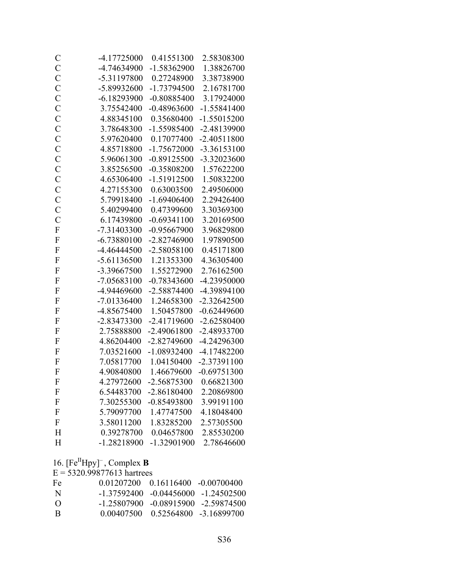| $\mathcal{C}$             | -4.17725000   | 0.41551300    | 2.58308300    |
|---------------------------|---------------|---------------|---------------|
| $\mathcal{C}$             | -4.74634900   | $-1.58362900$ | 1.38826700    |
| $\mathbf C$               | -5.31197800   | 0.27248900    | 3.38738900    |
| $\mathcal{C}$             | -5.89932600   | $-1.73794500$ | 2.16781700    |
| $\mathbf C$               | $-6.18293900$ | $-0.80885400$ | 3.17924000    |
| $\mathbf C$               | 3.75542400    | $-0.48963600$ | $-1.55841400$ |
| $\mathcal{C}$             | 4.88345100    | 0.35680400    | -1.55015200   |
| $\mathbf C$               | 3.78648300    | $-1.55985400$ | -2.48139900   |
| $\mathbf C$               | 5.97620400    | 0.17077400    | $-2.40511800$ |
| $\mathbf C$               | 4.85718800    | $-1.75672000$ | $-3.36153100$ |
| $\mathcal{C}$             | 5.96061300    | $-0.89125500$ | -3.32023600   |
| $\mathbf C$               | 3.85256500    | $-0.35808200$ | 1.57622200    |
| $\mathcal{C}$             | 4.65306400    | $-1.51912500$ | 1.50832200    |
| $\mathcal{C}$             | 4.27155300    | 0.63003500    | 2.49506000    |
| $\mathbf C$               | 5.79918400    | $-1.69406400$ | 2.29426400    |
| $\mathcal{C}$             | 5.40299400    | 0.47399600    | 3.30369300    |
| $\overline{C}$            | 6.17439800    | $-0.69341100$ | 3.20169500    |
| $\overline{F}$            | $-7.31403300$ | $-0.95667900$ | 3.96829800    |
| $\overline{F}$            | $-6.73880100$ | $-2.82746900$ | 1.97890500    |
| $\mathbf F$               | -4.46444500   | $-2.58058100$ | 0.45171800    |
| $\mathbf{F}$              | $-5.61136500$ | 1.21353300    | 4.36305400    |
| $\overline{F}$            | -3.39667500   | 1.55272900    | 2.76162500    |
| $\mathbf{F}$              | $-7.05683100$ | $-0.78343600$ | -4.23950000   |
| $\mathbf F$               | -4.94469600   | $-2.58874400$ | -4.39894100   |
| $\overline{F}$            | $-7.01336400$ | 1.24658300    | $-2.32642500$ |
| $\mathbf{F}$              | -4.85675400   | 1.50457800    | $-0.62449600$ |
| $\mathbf F$               | -2.83473300   | $-2.41719600$ | $-2.62580400$ |
| $\mathbf F$               | 2.75888800    | $-2.49061800$ | -2.48933700   |
| $\rm F$                   | 4.86204400    | -2.82749600   | -4.24296300   |
| $\mathbf{F}$              | 7.03521600    | $-1.08932400$ | $-4.17482200$ |
| $\mathbf{F}$              | 7.05817700    | 1.04150400    | $-2.37391100$ |
| $\overline{F}$            | 4.90840800    | 1.46679600    | $-0.69751300$ |
| $\Gamma$                  | 4.27972600    | -2.56875300   | 0.66821300    |
| F                         | 6.54483700    | $-2.86180400$ | 2.20869800    |
| $\boldsymbol{\mathrm{F}}$ | 7.30255300    | $-0.85493800$ | 3.99191100    |
| F                         | 5.79097700    | 1.47747500    | 4.18048400    |
| F                         | 3.58011200    | 1.83285200    | 2.57305500    |
| H                         | 0.39278700    | 0.04657800    | 2.85530200    |
| H                         | -1.28218900   | -1.32901900   | 2.78646600    |
|                           |               |               |               |

16.  $[Fe^{II}Hpy]$ <sup>-</sup>, Complex **B** 

 $E = 5320.99877613$  hartrees

| Fe       | $0.01207200 - 0.16116400 - 0.00700400$ |                                              |
|----------|----------------------------------------|----------------------------------------------|
| -N       |                                        | $-1, 37592400$ $-0, 04456000$ $-1, 24502500$ |
| $\left($ |                                        | $-1, 25807900 - 0, 08915900 - 2, 59874500$   |
| -B       | $0.00407500 - 0.52564800 - 3.16899700$ |                                              |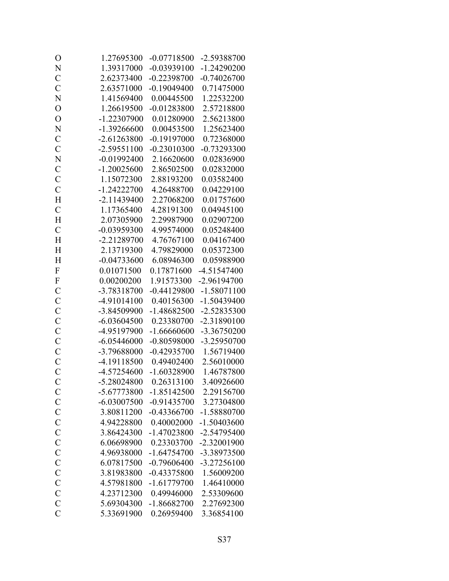| O              | 1.27695300    | $-0.07718500$ | -2.59388700   |
|----------------|---------------|---------------|---------------|
| N              | 1.39317000    | $-0.03939100$ | $-1.24290200$ |
| $\mathcal{C}$  | 2.62373400    | $-0.22398700$ | $-0.74026700$ |
| $\overline{C}$ | 2.63571000    | $-0.19049400$ | 0.71475000    |
| N              | 1.41569400    | 0.00445500    | 1.22532200    |
| $\mathcal{O}$  | 1.26619500    | $-0.01283800$ | 2.57218800    |
| $\overline{O}$ | -1.22307900   | 0.01280900    | 2.56213800    |
| N              | $-1.39266600$ | 0.00453500    | 1.25623400    |
| $\mathcal{C}$  | $-2.61263800$ | $-0.19197000$ | 0.72368000    |
| $\mathcal{C}$  | $-2.59551100$ | $-0.23010300$ | $-0.73293300$ |
| N              | $-0.01992400$ | 2.16620600    | 0.02836900    |
| $\mathcal{C}$  | $-1.20025600$ | 2.86502500    | 0.02832000    |
| $\mathbf C$    | 1.15072300    | 2.88193200    | 0.03582400    |
| $\overline{C}$ | $-1.24222700$ | 4.26488700    | 0.04229100    |
| H              | $-2.11439400$ | 2.27068200    | 0.01757600    |
| $\mathcal{C}$  | 1.17365400    | 4.28191300    | 0.04945100    |
| H              | 2.07305900    | 2.29987900    | 0.02907200    |
| $\mathcal{C}$  | $-0.03959300$ | 4.99574000    | 0.05248400    |
| H              | $-2.21289700$ | 4.76767100    | 0.04167400    |
| H              | 2.13719300    | 4.79829000    | 0.05372300    |
| H              | $-0.04733600$ | 6.08946300    | 0.05988900    |
| $\mathbf F$    | 0.01071500    | 0.17871600    | $-4.51547400$ |
| $\mathbf F$    | 0.00200200    | 1.91573300    | -2.96194700   |
| $\mathcal{C}$  | -3.78318700   | $-0.44129800$ | $-1.58071100$ |
| $\mathbf C$    | -4.91014100   | 0.40156300    | $-1.50439400$ |
| $\mathcal{C}$  | -3.84509900   | $-1.48682500$ | -2.52835300   |
| $\mathcal{C}$  | $-6.03604500$ | 0.23380700    | -2.31890100   |
| $\mathcal{C}$  | -4.95197900   | $-1.66660600$ | -3.36750200   |
| $\mathbf C$    | $-6.05446000$ | $-0.80598000$ | -3.25950700   |
| $\mathbf C$    | -3.79688000   | $-0.42935700$ | 1.56719400    |
| $\overline{C}$ | -4.19118500   | 0.49402400    | 2.56010000    |
| $\overline{C}$ | -4.57254600   | $-1.60328900$ | 1.46787800    |
| $\mathcal{C}$  | -5.28024800   | 0.26313100    | 3.40926600    |
| $\mathcal{C}$  | $-5.67773800$ | $-1.85142500$ | 2.29156700    |
| $\mathcal{C}$  | $-6.03007500$ | $-0.91435700$ | 3.27304800    |
| $\mathcal{C}$  | 3.80811200    | $-0.43366700$ | -1.58880700   |
| $\mathcal{C}$  | 4.94228800    | 0.40002000    | $-1.50403600$ |
| $\mathbf C$    | 3.86424300    | $-1.47023800$ | -2.54795400   |
| $\mathcal{C}$  | 6.06698900    | 0.23303700    | -2.32001900   |
| $\mathbf C$    | 4.96938000    | $-1.64754700$ | -3.38973500   |
| $\mathcal{C}$  | 6.07817500    | $-0.79606400$ | $-3.27256100$ |
| $\mathcal{C}$  | 3.81983800    | $-0.43375800$ | 1.56009200    |
| $\mathbf C$    | 4.57981800    | $-1.61779700$ | 1.46410000    |
| $\mathcal{C}$  | 4.23712300    | 0.49946000    | 2.53309600    |
| $\mathcal{C}$  | 5.69304300    | $-1.86682700$ | 2.27692300    |
| $\overline{C}$ | 5.33691900    | 0.26959400    | 3.36854100    |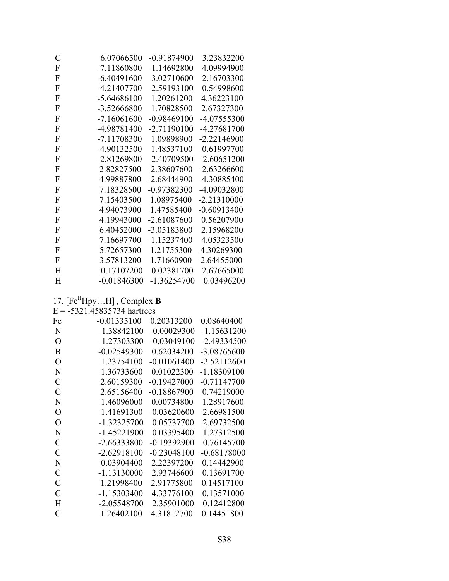| $\mathcal C$   | 6.07066500    | $-0.91874900$ | 3.23832200    |
|----------------|---------------|---------------|---------------|
| $\overline{F}$ | $-7.11860800$ | $-1.14692800$ | 4.09994900    |
| F              | $-6.40491600$ | $-3.02710600$ | 2.16703300    |
| $\mathbf F$    | $-4.21407700$ | $-2.59193100$ | 0.54998600    |
| F              | $-5.64686100$ | 1.20261200    | 4.36223100    |
| F              | -3.52666800   | 1.70828500    | 2.67327300    |
| $\mathbf F$    | $-7.16061600$ | $-0.98469100$ | -4.07555300   |
| F              | -4.98781400   | $-2.71190100$ | -4.27681700   |
| F              | -7.11708300   | 1.09898900    | $-2.22146900$ |
| F              | -4.90132500   | 1.48537100    | $-0.61997700$ |
| $\mathbf F$    | -2.81269800   | $-2.40709500$ | $-2.60651200$ |
| $\mathbf F$    | 2.82827500    | -2.38607600   | $-2.63266600$ |
| $\mathbf F$    | 4.99887800    | $-2.68444900$ | -4.30885400   |
| $\mathbf F$    | 7.18328500    | $-0.97382300$ | -4.09032800   |
| $\mathbf F$    | 7.15403500    | 1.08975400    | $-2.21310000$ |
| $\mathbf F$    | 4.94073900    | 1.47585400    | $-0.60913400$ |
| F              | 4.19943000    | $-2.61087600$ | 0.56207900    |
| F              | 6.40452000    | -3.05183800   | 2.15968200    |
| F              | 7.16697700    | $-1.15237400$ | 4.05323500    |
| F              | 5.72657300    | 1.21755300    | 4.30269300    |
| F              | 3.57813200    | 1.71660900    | 2.64455000    |
| H              | 0.17107200    | 0.02381700    | 2.67665000    |
| H              | $-0.01846300$ | $-1.36254700$ | 0.03496200    |
|                |               |               |               |

# 17.  $[Fe^{II}Hpy...H]$ , Complex **B**<br>E = -5321.45835734 hartrees

| Fe            | $-0.01335100$ | 0.20313200    | 0.08640400    |
|---------------|---------------|---------------|---------------|
| N             | $-1.38842100$ | $-0.00029300$ | $-1.15631200$ |
| O             | -1.27303300   | $-0.03049100$ | $-2.49334500$ |
| B             | $-0.02549300$ | 0.62034200    | -3.08765600   |
| O             | 1.23754100    | $-0.01061400$ | $-2.52112600$ |
| N             | 1.36733600    | 0.01022300    | $-1.18309100$ |
| C             | 2.60159300    | $-0.19427000$ | $-0.71147700$ |
| $\mathcal{C}$ | 2.65156400    | $-0.18867900$ | 0.74219000    |
| N             | 1.46096000    | 0.00734800    | 1.28917600    |
| O             | 1.41691300    | $-0.03620600$ | 2.66981500    |
| O             | $-1.32325700$ | 0.05737700    | 2.69732500    |
| N             | $-1.45221900$ | 0.03395400    | 1.27312500    |
| C             | -2.66333800   | $-0.19392900$ | 0.76145700    |
| $\mathcal{C}$ | $-2.62918100$ | $-0.23048100$ | $-0.68178000$ |
| N             | 0.03904400    | 2.22397200    | 0.14442900    |
| $\mathcal{C}$ | $-1.13130000$ | 2.93746600    | 0.13691700    |
| $\mathcal{C}$ | 1.21998400    | 2.91775800    | 0.14517100    |
| $\mathcal{C}$ | $-1.15303400$ | 4.33776100    | 0.13571000    |
| H             | $-2.05548700$ | 2.35901000    | 0.12412800    |
| C             | 1.26402100    | 4.31812700    | 0.14451800    |
|               |               |               |               |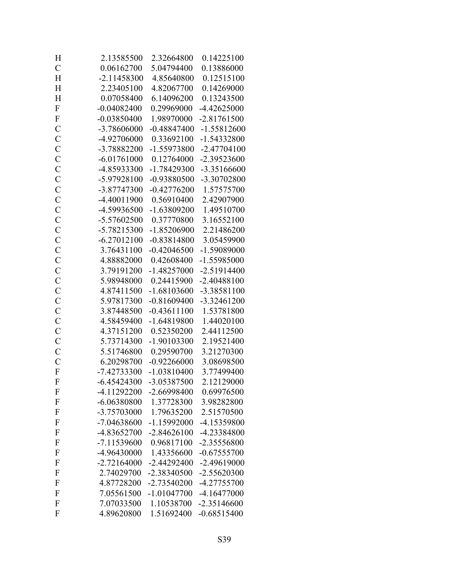| H                         | 2.13585500    | 2.32664800    | 0.14225100    |
|---------------------------|---------------|---------------|---------------|
| $\mathcal{C}$             | 0.06162700    | 5.04794400    | 0.13886000    |
| H                         | $-2.11458300$ | 4.85640800    | 0.12515100    |
| H                         | 2.23405100    | 4.82067700    | 0.14269000    |
| H                         | 0.07058400    | 6.14096200    | 0.13243500    |
| $\mathbf F$               | $-0.04082400$ | 0.29969000    | $-4.42625000$ |
| $\boldsymbol{\mathrm{F}}$ | $-0.03850400$ | 1.98970000    | $-2.81761500$ |
| $\mathcal{C}$             | -3.78606000   | $-0.48847400$ | $-1.55812600$ |
| $\mathbf C$               | -4.92706000   | 0.33692100    | -1.54332800   |
| $\mathcal{C}$             | -3.78882200   | -1.55973800   | $-2.47704100$ |
| $\mathcal{C}$             | $-6.01761000$ | 0.12764000    | -2.39523600   |
| $\mathcal{C}$             | -4.85933300   | -1.78429300   | -3.35166600   |
| $\mathbf C$               | -5.97928100   | $-0.93880500$ | -3.30702800   |
| $\overline{C}$            | -3.87747300   | $-0.42776200$ | 1.57575700    |
| $\mathcal{C}$             | -4.40011900   | 0.56910400    | 2.42907900    |
| $\mathbf C$               | -4.59936500   | $-1.63809200$ | 1.49510700    |
| $\mathcal{C}$             | -5.57602500   | 0.37770800    | 3.16552100    |
| $\mathcal{C}$             | -5.78215300   | $-1.85206900$ | 2.21486200    |
| $\mathcal{C}$             | $-6.27012100$ | $-0.83814800$ | 3.05459900    |
| $\mathcal{C}$             | 3.76431100    | $-0.42046500$ | -1.59089000   |
| $\mathcal{C}$             | 4.88882000    | 0.42608400    | -1.55985000   |
| $\mathbf C$               | 3.79191200    | $-1.48257000$ | $-2.51914400$ |
| $\mathbf C$               | 5.98948000    | 0.24415900    | $-2.40488100$ |
| $\overline{C}$            | 4.87411500    | $-1.68103600$ | -3.38581100   |
| $\mathcal{C}$             | 5.97817300    | $-0.81609400$ | $-3.32461200$ |
| $\mathcal{C}$             | 3.87448500    | $-0.43611100$ | 1.53781800    |
| $\mathcal{C}$             | 4.58459400    | $-1.64819800$ | 1.44020100    |
| $\mathcal{C}$             | 4.37151200    | 0.52350200    | 2.44112500    |
| $\mathbf C$               | 5.73714300    | $-1.90103300$ | 2.19521400    |
| $\mathcal{C}$             | 5.51746800    | 0.29590700    | 3.21270300    |
| $\overline{C}$            | 6.20298700    | $-0.92266000$ | 3.08698500    |
| $\overline{F}$            | $-7.42733300$ | $-1.03810400$ | 3.77499400    |
| $\mathbf{F}$              | $-6.45424300$ | -3.05387500   | 2.12129000    |
| F                         | -4.11292200   | -2.66998400   | 0.69976500    |
| $\mathbf{F}$              | $-6.06380800$ | 1.37728300    | 3.98282800    |
| $\mathbf{F}$              | -3.75703000   | 1.79635200    | 2.51570500    |
| $\mathbf{F}$              | -7.04638600   | $-1.15992000$ | -4.15359800   |
| F                         | -4.83652700   | $-2.84626100$ | -4.23384800   |
| F                         | $-7.11539600$ | 0.96817100    | -2.35556800   |
| $\mathbf{F}$              | -4.96430000   | 1.43356600    | $-0.67555700$ |
| $\mathbf{F}$              | $-2.72164000$ | $-2.44292400$ | $-2.49619000$ |
| $\mathbf{F}$              | 2.74029700    | -2.38340500   | $-2.55620300$ |
| F                         | 4.87728200    | -2.73540200   | -4.27755700   |
| $\mathbf{F}$              | 7.05561500    | $-1.01047700$ | $-4.16477000$ |
| $\mathbf{F}$              | 7.07033500    | 1.10538700    | $-2.35146600$ |
| F                         | 4.89620800    | 1.51692400    | $-0.68515400$ |